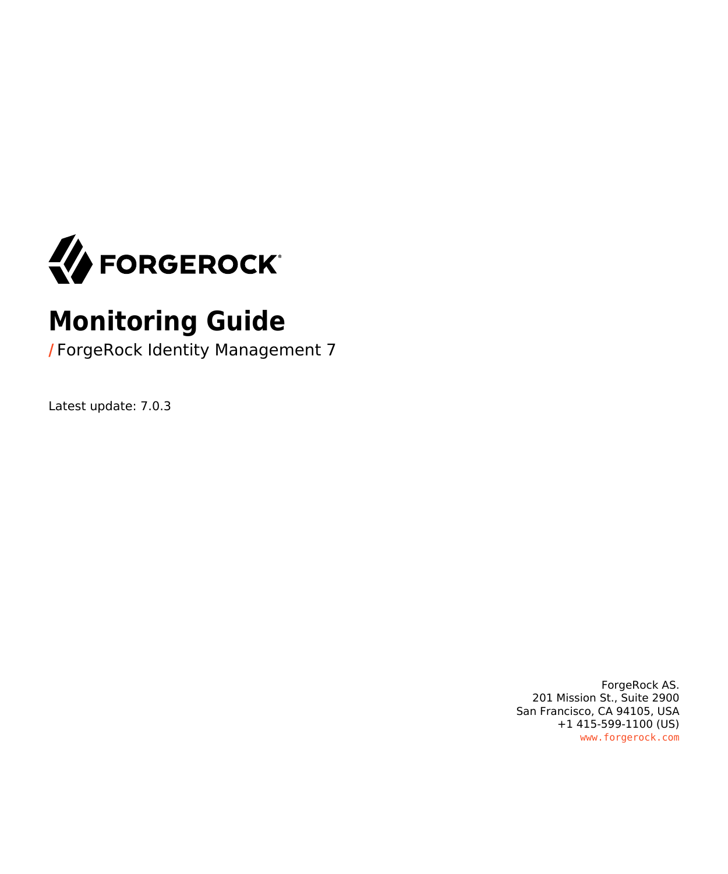

## **Monitoring Guide**

**/** ForgeRock Identity Management 7

Latest update: 7.0.3

ForgeRock AS. 201 Mission St., Suite 2900 San Francisco, CA 94105, USA +1 415-599-1100 (US) www.forgerock.com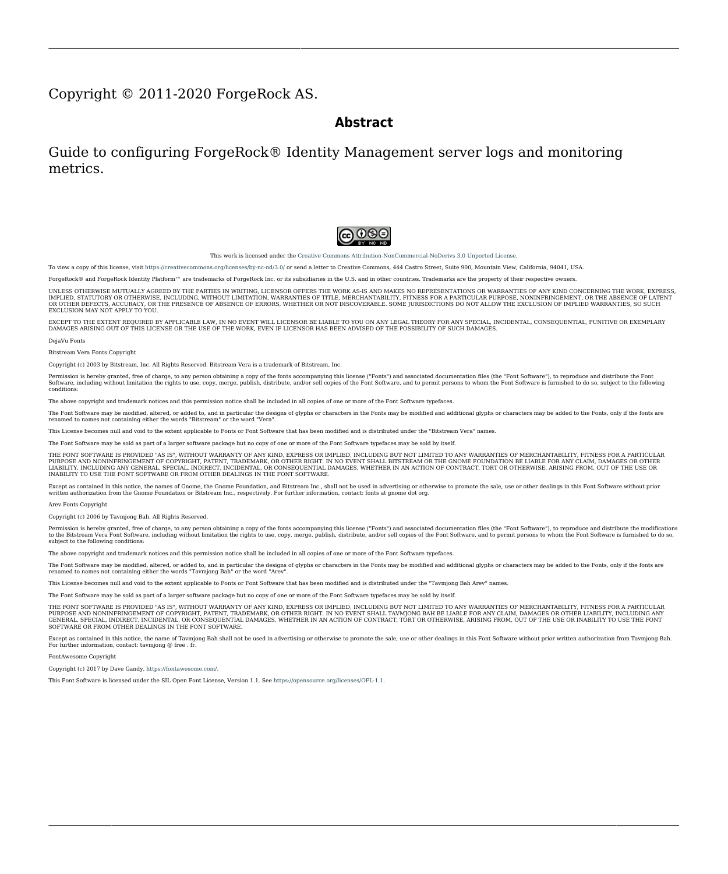#### Copyright © 2011-2020 ForgeRock AS.

#### **Abstract**

### Guide to configuring ForgeRock® Identity Management server logs and monitoring metrics.



This work is licensed under the Creative Commons Attribution-NonCommercial-NoDerivs 3.0 Unpo

To view a copy of this license, visit <https://creativecommons.org/licenses/by-nc-nd/3.0/> or send a letter to Creative Commons, 444 Castro Street, Suite 900, Mountain View, California, 94041, USA.

ForgeRock® and ForgeRock Identity Platform™ are trademarks of ForgeRock Inc. or its subsidiaries in the U.S. and in other countries. Trademarks are the property of their re

UNLESS OTHERWISE MUTUALLY AGREED BY THE PARTIES IN WRITNG, LICENSOR OFFERS THE WORK ASLES OF ARRESENTATIONS OR WARRANTIES OF ANY KNR ACTONOMENT OF A THE ASSENCE OF A THE ABSENCE OF A TH<br>IMPLIED, STATUTORY OR OTHERWISE, INC OR OTHER DEFECTS, ACCURACY, OR THE PRESENCE OF ABSENCE OF ERRORS, WHETHER OR NOT DISCOVERABLE. SOME JURISDICTIONS DO NOT ALLOW THE EXCLUSION OF IMPLIED WARRANTIES, SO SUCH EXCLUSION MAY NOT APPLY TO YOU.

EXCEPT TO THE EXTENT REQUIRED BY APPLICABLE LAW, IN NO EVENT WILL LICENSOR BE LIABLE TO YOU ON ANY LEGAL THEORY FOR ANY ISLOCKERT ALLOCATED TO THE STATE ON SERVENTIAL, PONCE OUR EXEMPLARY CONSEQUENTIAL, PONTIVE OR EXEMPLAR

DejaVu Fonts

Bitstream Vera Fonts Copyright

Copyright (c) 2003 by Bitstream, Inc. All Rights Reserved. Bitstream Vera is a trademark of Bitstream, Inc.

Permission is hereby granted, free of charge, to any person obtaining a copy of the fonts accompanying this license ("Fonts") and associated documentation files ("hent Font Software, including without instanded to do so, s condition

re copyright and trademark notices and this permission notice shall be included in all copies of one or more of the Font Software typefaces.

The Font Software may be modified, altered, or added to, and in particular the designs of glyphs or characters in the Fonts may be modified and additional glyphs or characters may be added to the Fonts, only if the fonts a renamed to names not containing either the words "Bitstream" or the word "Vera".

This License becomes null and void to the extent applicable to Fonts or Font Software that has been modified and is distributed under the "Bitstream Vera" names.

The Font Software may be sold as part of a larger software package but no copy of one or more of the Font Software typefaces may be sold by itself.

THE FONT SOFTWARE IS PROVIDED "AS IS", WTHOUT WARRANTY OF ANY KIND, EXPRESS OR IMPLIED, MALRO THO AN MONTARRANTIES OF MERCHANTABILITY, FITNESS FOR A PARTO THE SOFT A PARTICULARY IN THE GROME FOR ANY CLAIM, DAMAGES OR OTHER LIABILITY, INCLUDING ANY GENERAL, SPECIAL, INDIRECT, INCLOSTED AND ANGERET AND ARRELLY MAN ACTION OF CONTRACT, TORT OR OTHERWISE, ARISING FROM, OUT OF THE USE OR<br>INABILITY TO USE THE FONT SOFTWARE OR FROM OTHER DEALINGS IN

Except as contained in this notice, the names of Gnome, the Gnome Foundation, and Bitstream Inc., shall not be used in advertising or otherwise to promote the sale, use or other dealings in this Font Software without prior

Arev Fonts Copyright

Copyright (c) 2006 by Tavmjong Bah. All Rights Reserved.

Permission is hereby granted, free of charge, to any person obtaining a copy of the fonts accompanying this license ("Fonts") and associated documentation files (the "Font Software"), to reproduce and distribute the modifi to the Bitstream Vera Font Software, including without limitation the rights to use, copy, merge, publish, distribute, and/or sell copies of the Font Software, and to permit persons to whom the Font Software is furnished t

we copyright and trademark notices and this permission notice shall be included in all copies of one or more of the Font Software typefaces.

The Font Software may be modified, altered, or added to, and in particular the designs of glyphs or characters in the Fonts may be modified and additional glyphs or characters may be added to the Fonts, only if the fonts a

This License becomes null and void to the extent applicable to Fonts or Font Software that has been modified and is distributed under the "Tavmjong Bah Arev" names.

The Font Software may be sold as part of a larger software package but no copy of one or more of the Font Software typefaces may be sold by itself.

THE FONT SOFTWARE IS PROVIDED "AS IS", WITHOUT WARRANTY OF ANY KIND, EXPRESS OR IMPLIED, INCLUDING BUT NOT LIMITED TO ANY WARRANTIES OF MERCHANTABILITY, FITNESS FOR A PARTICULAR PURPOSE AND NONINFRINGEMENT OF COPYRIGHT, PATENT, TRADEMARK, OR OTHER RIGHT. IN NO EVENT SHALL TAVMJONG BAH BE LIABLE FOR ANY CLAIM, DAMAGES OR OTHER LIABILITY, INCLUDING ANY<br>GENERAL, SPECIAL, INDIRECT, INCIDENTAL, OR CONS

Except as contained in this notice, the name of Tavmjong Bah shall not be used in advertising or otherwise to promote the sale, use or other dealings in this Font Software without prior written authorization from Tavmjong For further information, contact: tavmjong @ free . fr.

#### FontAwesome Copyright

Copyright (c) 2017 by Dave Gandy, [https://fontawesome.com/.](https://fontawesome.com/)

This Font Software is licensed under the SIL Open Font License, Version 1.1. See<https://opensource.org/licenses/OFL-1.1>.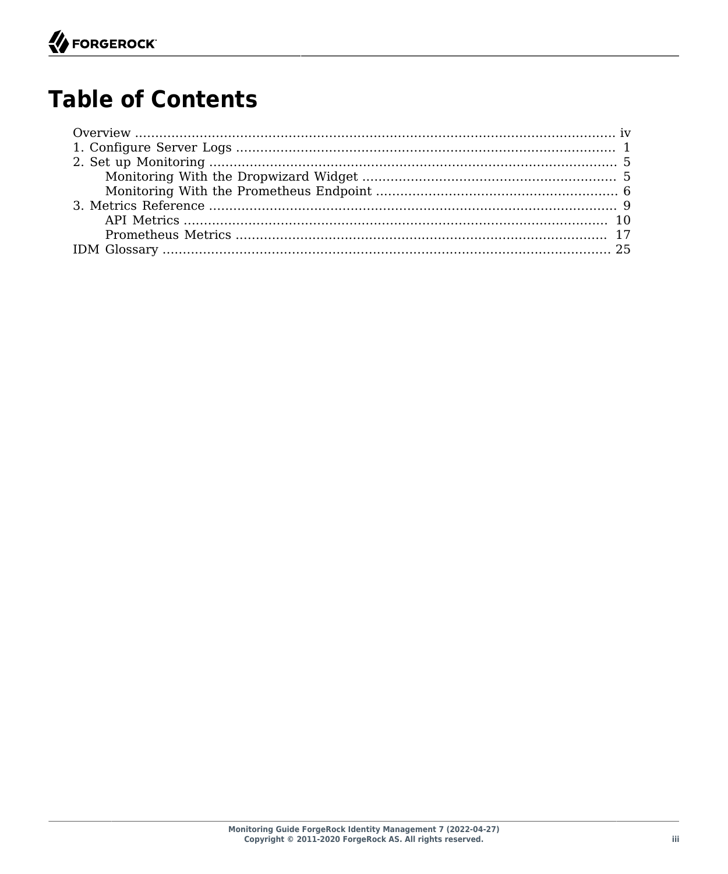## **Table of Contents**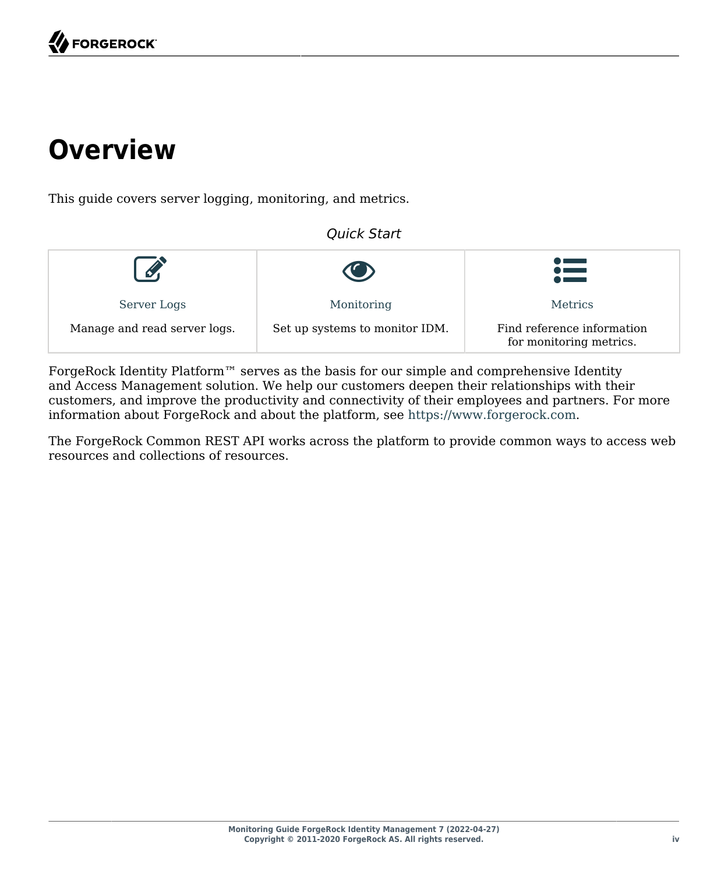## <span id="page-3-0"></span>**Overview**

This guide covers server logging, monitoring, and metrics.

### *Quick Start*

|                              |                                | 這                                                     |
|------------------------------|--------------------------------|-------------------------------------------------------|
| Server Logs                  | Monitoring                     | <b>Metrics</b>                                        |
| Manage and read server logs. | Set up systems to monitor IDM. | Find reference information<br>for monitoring metrics. |

ForgeRock Identity Platform<sup>™</sup> serves as the basis for our simple and comprehensive Identity and Access Management solution. We help our customers deepen their relationships with their customers, and improve the productivity and connectivity of their employees and partners. For more information about ForgeRock and about the platform, see <https://www.forgerock.com>.

The ForgeRock Common REST API works across the platform to provide common ways to access web resources and collections of resources.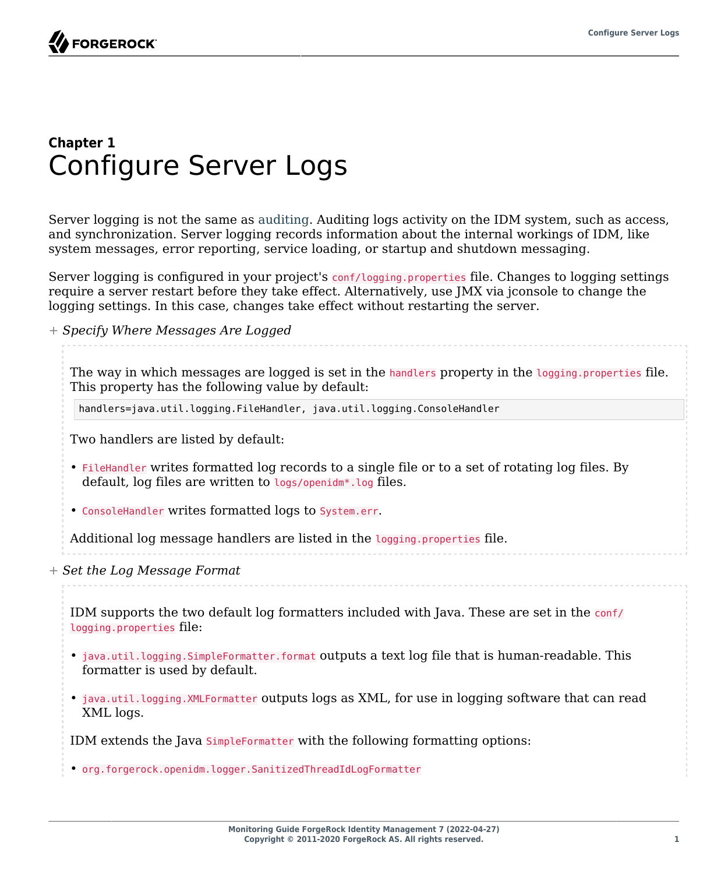### <span id="page-4-0"></span>**Chapter 1** Configure Server Logs

Server logging is not the same as auditing. Auditing logs activity on the IDM system, such as access, and synchronization. Server logging records information about the internal workings of IDM, like system messages, error reporting, service loading, or startup and shutdown messaging.

Server logging is configured in your project's conf/logging.properties file. Changes to logging settings require a server restart before they take effect. Alternatively, use JMX via jconsole to change the logging settings. In this case, changes take effect without restarting the server.

*+ Specify Where Messages Are Logged*

The way in which messages are logged is set in the handlers property in the logging.properties file. This property has the following value by default:

handlers=java.util.logging.FileHandler, java.util.logging.ConsoleHandler

Two handlers are listed by default:

- FileHandler writes formatted log records to a single file or to a set of rotating log files. By default, log files are written to logs/openidm\*.log files.
- ConsoleHandler writes formatted logs to System.err.

Additional log message handlers are listed in the logging.properties file.

*+ Set the Log Message Format*

IDM supports the two default log formatters included with Java. These are set in the conf/ logging.properties file:

- java.util.logging.SimpleFormatter.format outputs a text log file that is human-readable. This formatter is used by default.
- java.util.logging.XMLFormatter outputs logs as XML, for use in logging software that can read XML logs.

IDM extends the Java SimpleFormatter with the following formatting options:

• org.forgerock.openidm.logger.SanitizedThreadIdLogFormatter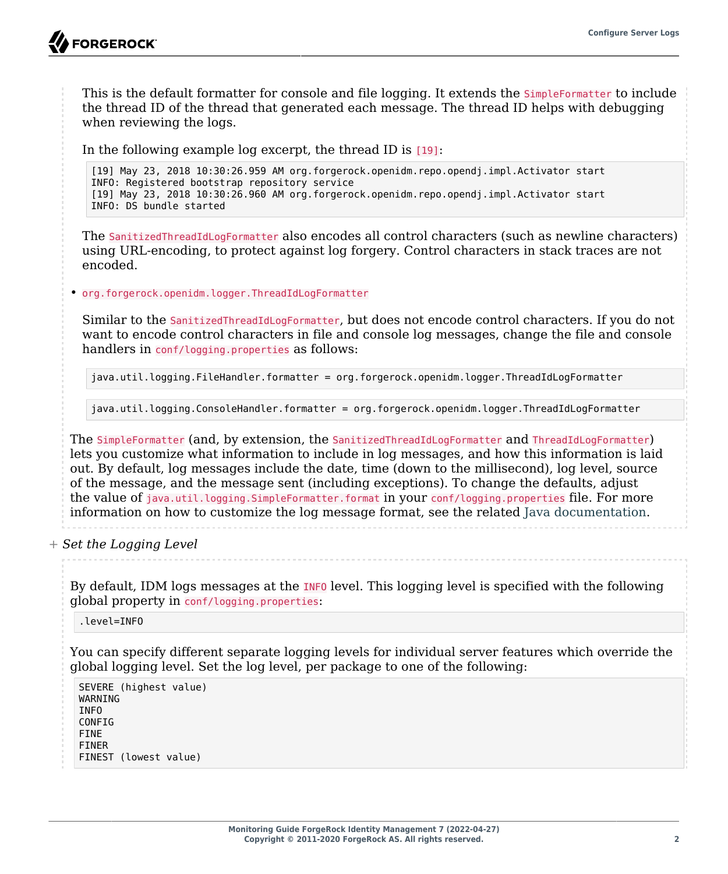This is the default formatter for console and file logging. It extends the SimpleFormatter to include the thread ID of the thread that generated each message. The thread ID helps with debugging when reviewing the logs.

In the following example log excerpt, the thread ID is [19]:

[19] May 23, 2018 10:30:26.959 AM org.forgerock.openidm.repo.opendj.impl.Activator start INFO: Registered bootstrap repository service [19] May 23, 2018 10:30:26.960 AM org.forgerock.openidm.repo.opendj.impl.Activator start INFO: DS bundle started

The SanitizedThreadIdLogFormatter also encodes all control characters (such as newline characters) using URL-encoding, to protect against log forgery. Control characters in stack traces are not encoded.

• org.forgerock.openidm.logger.ThreadIdLogFormatter

Similar to the SanitizedThreadIdLogFormatter, but does not encode control characters. If you do not want to encode control characters in file and console log messages, change the file and console handlers in conf/logging.properties as follows:

java.util.logging.FileHandler.formatter = org.forgerock.openidm.logger.ThreadIdLogFormatter

java.util.logging.ConsoleHandler.formatter = org.forgerock.openidm.logger.ThreadIdLogFormatter

The SimpleFormatter (and, by extension, the SanitizedThreadIdLogFormatter and ThreadIdLogFormatter) lets you customize what information to include in log messages, and how this information is laid out. By default, log messages include the date, time (down to the millisecond), log level, source of the message, and the message sent (including exceptions). To change the defaults, adjust the value of java.util.logging.SimpleFormatter.format in your conf/logging.properties file. For more information on how to customize the log message format, see the related [Java documentation](https://docs.oracle.com/en/java/javase/11/docs/api/java.logging/java/util/logging/SimpleFormatter.html).

*+ Set the Logging Level*

By default, IDM logs messages at the INFO level. This logging level is specified with the following global property in conf/logging.properties:

.level=INFO

You can specify different separate logging levels for individual server features which override the global logging level. Set the log level, per package to one of the following:

SEVERE (highest value) WARNING INFO CONFIG FINE FINER FINEST (lowest value)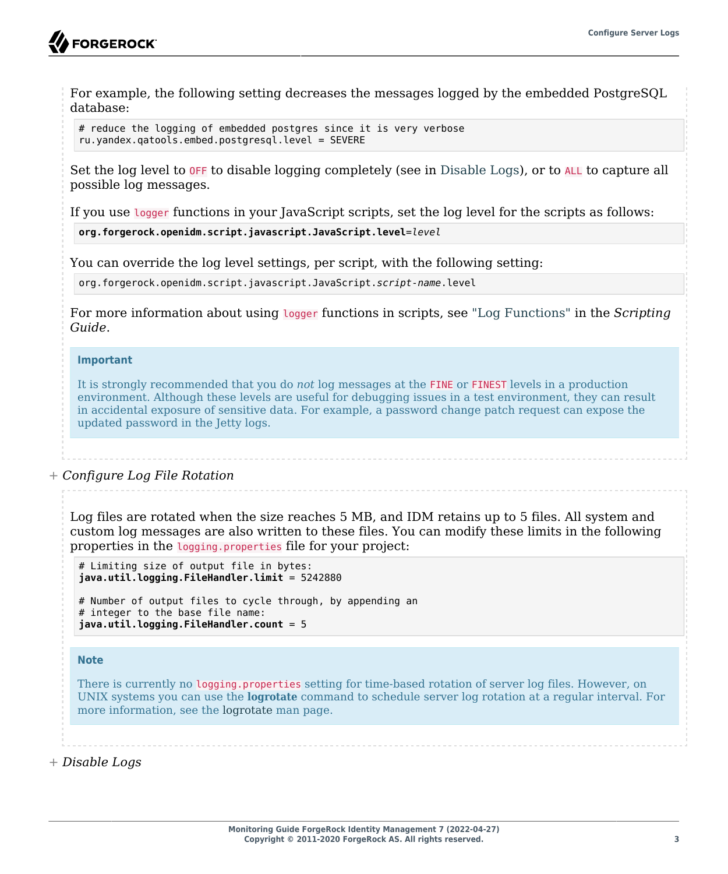For example, the following setting decreases the messages logged by the embedded PostgreSQL database:

```
# reduce the logging of embedded postgres since it is very verbose
ru.yandex.qatools.embed.postgresql.level = SEVERE
```
Set the log level to OFF to disable logging completely (see in [Disable Logs](#page-6-0)), or to ALL to capture all possible log messages.

If you use logger functions in your JavaScript scripts, set the log level for the scripts as follows:

**org.forgerock.openidm.script.javascript.JavaScript.level**=*level*

You can override the log level settings, per script, with the following setting:

org.forgerock.openidm.script.javascript.JavaScript.*script-name*.level

For more information about using logger functions in scripts, see "Log Functions" in the *Scripting Guide*.

#### **Important**

It is strongly recommended that you do *not* log messages at the FINE or FINEST levels in a production environment. Although these levels are useful for debugging issues in a test environment, they can result in accidental exposure of sensitive data. For example, a password change patch request can expose the updated password in the Jetty logs.

#### *+ Configure Log File Rotation*

Log files are rotated when the size reaches 5 MB, and IDM retains up to 5 files. All system and custom log messages are also written to these files. You can modify these limits in the following properties in the logging.properties file for your project:

# Limiting size of output file in bytes: **java.util.logging.FileHandler.limit** = 5242880

# Number of output files to cycle through, by appending an # integer to the base file name: **java.util.logging.FileHandler.count** = 5

#### **Note**

There is currently no logging.properties setting for time-based rotation of server log files. However, on UNIX systems you can use the **logrotate** command to schedule server log rotation at a regular interval. For more information, see the [logrotate](https://linux.die.net/man/8/logrotate) man page.

<span id="page-6-0"></span>*+ Disable Logs*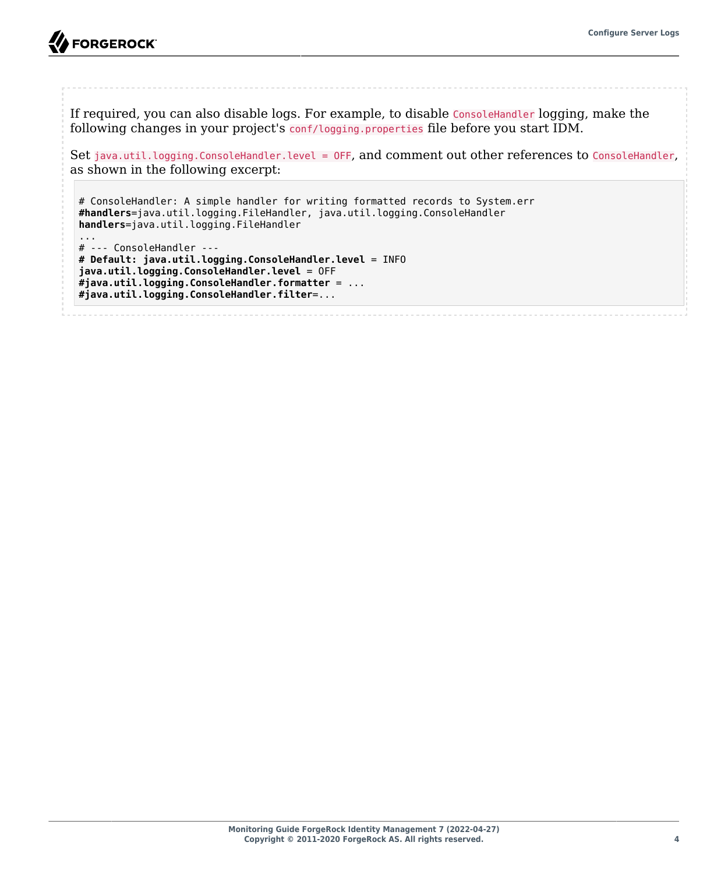

**A** FORGEROCK

If required, you can also disable logs. For example, to disable ConsoleHandler logging, make the following changes in your project's conf/logging.properties file before you start IDM.

Set java.util.logging.ConsoleHandler.level = OFF, and comment out other references to ConsoleHandler, as shown in the following excerpt:

# ConsoleHandler: A simple handler for writing formatted records to System.err **#handlers**=java.util.logging.FileHandler, java.util.logging.ConsoleHandler **handlers**=java.util.logging.FileHandler ... # --- ConsoleHandler --- **# Default: java.util.logging.ConsoleHandler.level** = INFO

**java.util.logging.ConsoleHandler.level** = OFF **#java.util.logging.ConsoleHandler.formatter** = ... **#java.util.logging.ConsoleHandler.filter**=...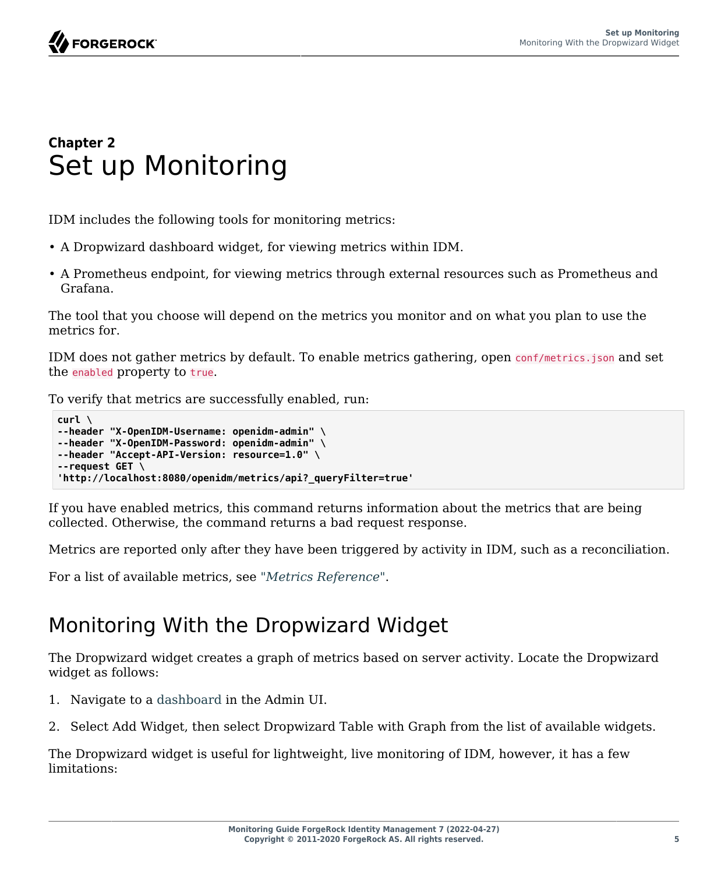### <span id="page-8-0"></span>**Chapter 2** Set up Monitoring

IDM includes the following tools for monitoring metrics:

- A Dropwizard dashboard widget, for viewing metrics within IDM.
- A Prometheus endpoint, for viewing metrics through external resources such as Prometheus and Grafana.

The tool that you choose will depend on the metrics you monitor and on what you plan to use the metrics for.

IDM does not gather metrics by default. To enable metrics gathering, open conf/metrics.json and set the enabled property to true.

To verify that metrics are successfully enabled, run:

```
curl \
--header "X-OpenIDM-Username: openidm-admin" \
--header "X-OpenIDM-Password: openidm-admin" \
--header "Accept-API-Version: resource=1.0" \
--request GET \
'http://localhost:8080/openidm/metrics/api?_queryFilter=true'
```
If you have enabled metrics, this command returns information about the metrics that are being collected. Otherwise, the command returns a bad request response.

Metrics are reported only after they have been triggered by activity in IDM, such as a reconciliation.

<span id="page-8-1"></span>For a list of available metrics, see "*[Metrics Reference](#page-12-0)*".

### Monitoring With the Dropwizard Widget

The Dropwizard widget creates a graph of metrics based on server activity. Locate the Dropwizard widget as follows:

- 1. Navigate to a dashboard in the Admin UI.
- 2. Select Add Widget, then select Dropwizard Table with Graph from the list of available widgets.

The Dropwizard widget is useful for lightweight, live monitoring of IDM, however, it has a few limitations: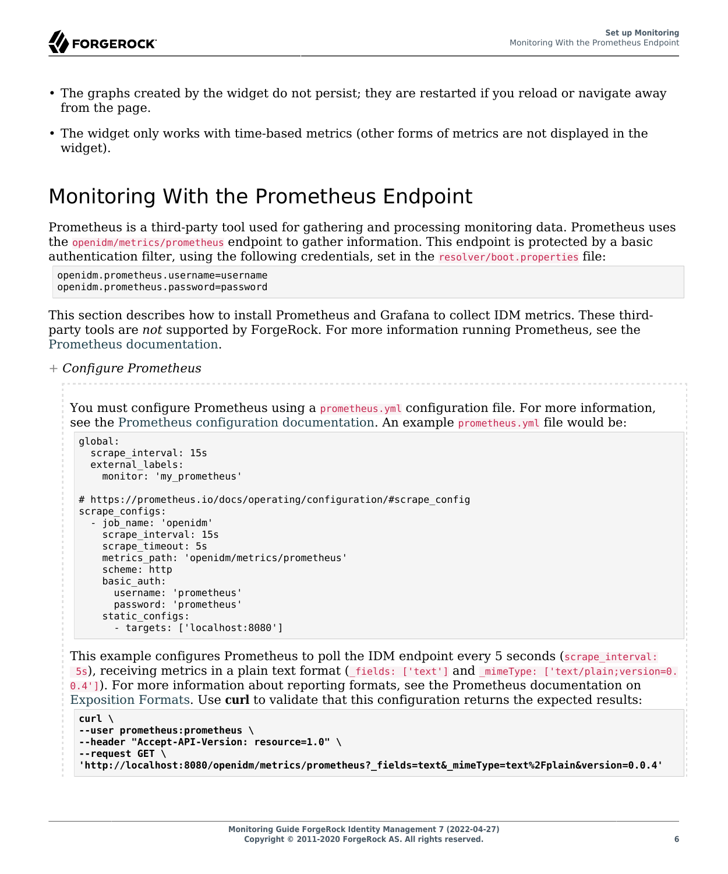- The graphs created by the widget do not persist; they are restarted if you reload or navigate away from the page.
- The widget only works with time-based metrics (other forms of metrics are not displayed in the widget).

### <span id="page-9-0"></span>Monitoring With the Prometheus Endpoint

Prometheus is a third-party tool used for gathering and processing monitoring data. Prometheus uses the openidm/metrics/prometheus endpoint to gather information. This endpoint is protected by a basic authentication filter, using the following credentials, set in the resolver/boot.properties file:

openidm.prometheus.username=username openidm.prometheus.password=password

This section describes how to install Prometheus and Grafana to collect IDM metrics. These thirdparty tools are *not* supported by ForgeRock. For more information running Prometheus, see the [Prometheus documentation.](https://prometheus.io/docs/introduction/overview/)

*+ Configure Prometheus*

You must configure Prometheus using a prometheus.yml configuration file. For more information, see the [Prometheus configuration documentation.](https://prometheus.io/docs/prometheus/latest/configuration/configuration/) An example prometheus.yml file would be:

```
global:
   scrape_interval: 15s
   external_labels:
     monitor: 'my_prometheus'
# https://prometheus.io/docs/operating/configuration/#scrape_config
scrape_configs:
  - job name: 'openidm'
    scrape interval: 15s
     scrape_timeout: 5s
    metrics path: 'openidm/metrics/prometheus'
     scheme: http
     basic_auth:
       username: 'prometheus'
       password: 'prometheus'
     static_configs:
       - targets: ['localhost:8080']
```
This example configures Prometheus to poll the IDM endpoint every 5 seconds (scrape interval: 5s), receiving metrics in a plain text format (\_fields: ['text'] and \_mimeType: ['text/plain;version=0. 0.4']). For more information about reporting formats, see the Prometheus documentation on [Exposition Formats.](https://prometheus.io/docs/instrumenting/exposition_formats/) Use **curl** to validate that this configuration returns the expected results:

```
curl \
--user prometheus:prometheus \
--header "Accept-API-Version: resource=1.0" \
--request GET \
'http://localhost:8080/openidm/metrics/prometheus?_fields=text&_mimeType=text%2Fplain&version=0.0.4'
```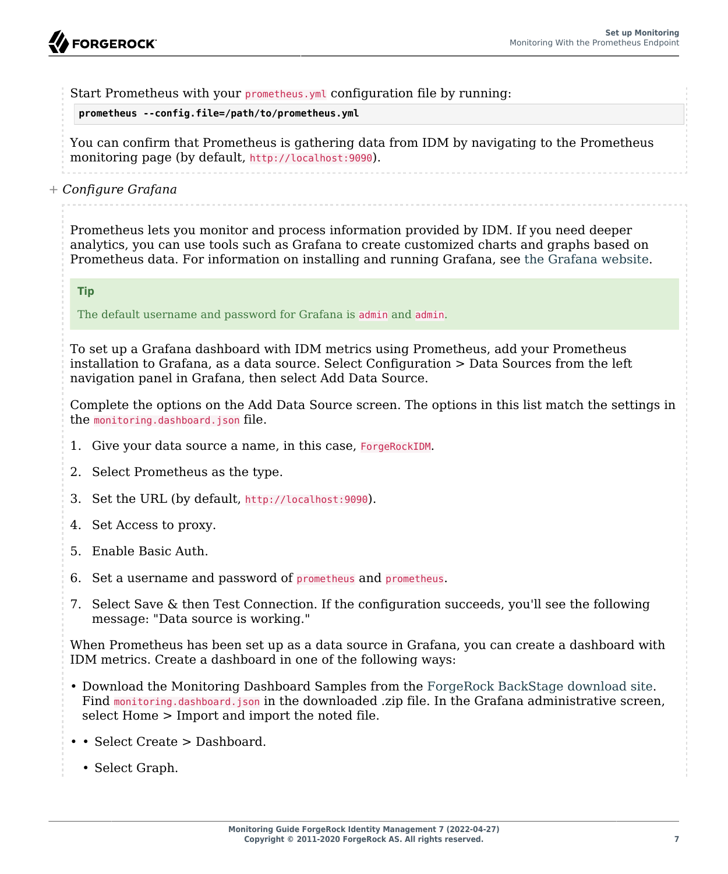Start Prometheus with your prometheus. yml configuration file by running:

**prometheus --config.file=/path/to/prometheus.yml**

You can confirm that Prometheus is gathering data from IDM by navigating to the Prometheus monitoring page (by default, http://localhost:9090).

*+ Configure Grafana*

Prometheus lets you monitor and process information provided by IDM. If you need deeper analytics, you can use tools such as Grafana to create customized charts and graphs based on Prometheus data. For information on installing and running Grafana, see [the Grafana website](https://grafana.com).

**Tip**

The default username and password for Grafana is admin and admin.

To set up a Grafana dashboard with IDM metrics using Prometheus, add your Prometheus installation to Grafana, as a data source. Select Configuration > Data Sources from the left navigation panel in Grafana, then select Add Data Source.

Complete the options on the Add Data Source screen. The options in this list match the settings in the monitoring.dashboard.json file.

- 1. Give your data source a name, in this case, ForgeRockIDM.
- 2. Select Prometheus as the type.
- 3. Set the URL (by default, http://localhost:9090).
- 4. Set Access to proxy.
- 5. Enable Basic Auth.
- 6. Set a username and password of prometheus and prometheus.
- 7. Select Save & then Test Connection. If the configuration succeeds, you'll see the following message: "Data source is working."

When Prometheus has been set up as a data source in Grafana, you can create a dashboard with IDM metrics. Create a dashboard in one of the following ways:

- Download the Monitoring Dashboard Samples from the [ForgeRock BackStage download site](https://backstage.forgerock.com/downloads). Find monitoring.dashboard.json in the downloaded .zip file. In the Grafana administrative screen, select Home > Import and import the noted file.
- • Select Create > Dashboard.
	- Select Graph.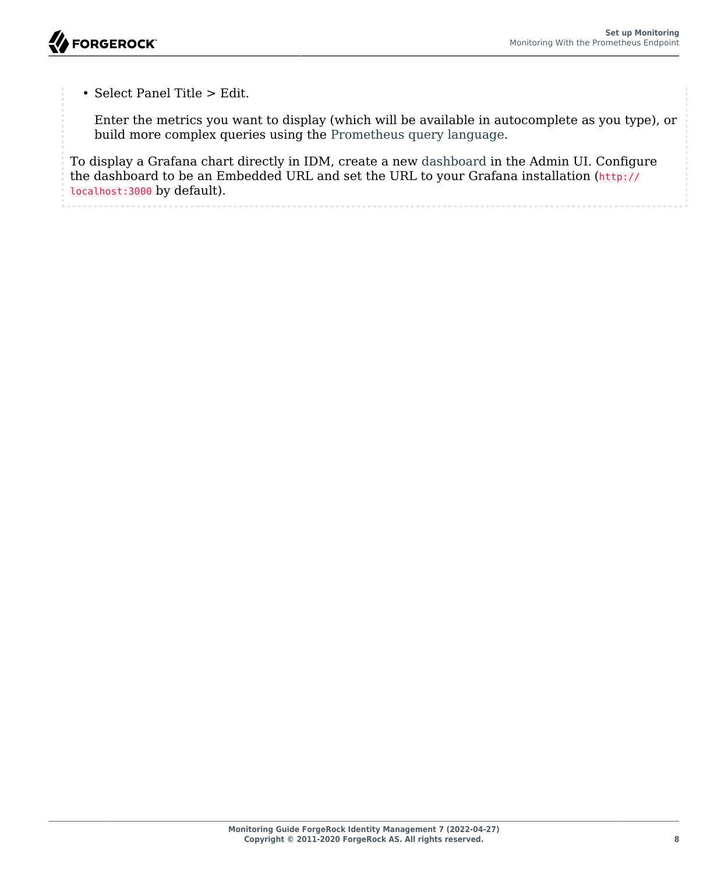• Select Panel Title > Edit.

Enter the metrics you want to display (which will be available in autocomplete as you type), or build more complex queries using the [Prometheus query language](https://prometheus.io/docs/prometheus/latest/querying/basics/).

To display a Grafana chart directly in IDM, create a new dashboard in the Admin UI. Configure the dashboard to be an Embedded URL and set the URL to your Grafana installation (http:// localhost:3000 by default).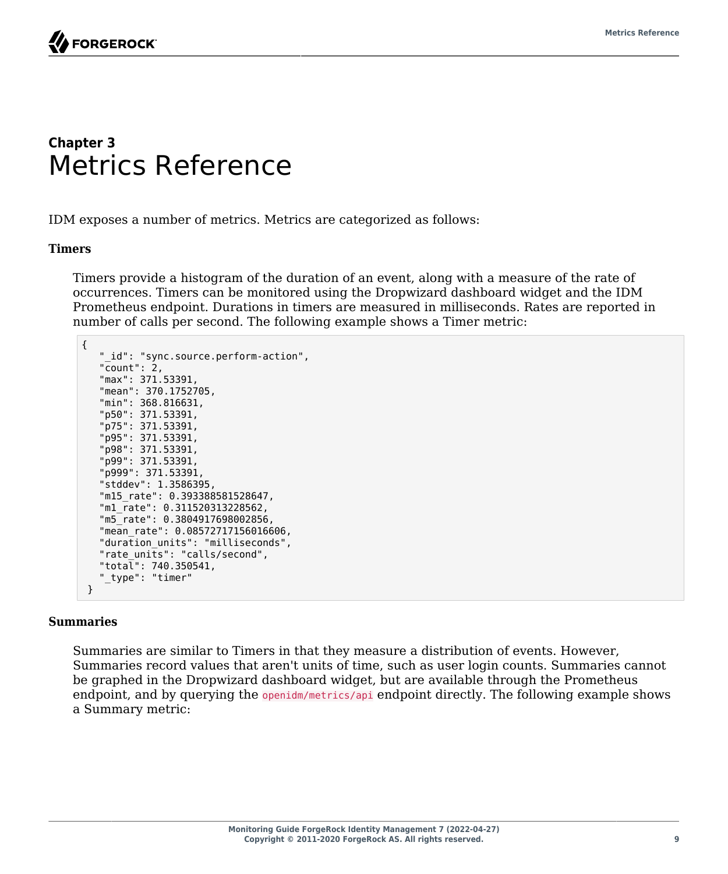

### <span id="page-12-0"></span>**Chapter 3** Metrics Reference

IDM exposes a number of metrics. Metrics are categorized as follows:

#### **Timers**

Timers provide a histogram of the duration of an event, along with a measure of the rate of occurrences. Timers can be monitored using the Dropwizard dashboard widget and the IDM Prometheus endpoint. Durations in timers are measured in milliseconds. Rates are reported in number of calls per second. The following example shows a Timer metric:

```
{
    "_id": "sync.source.perform-action",
    "count": 2,
    "max": 371.53391,
    "mean": 370.1752705,
    "min": 368.816631,
    "p50": 371.53391,
    "p75": 371.53391,
    "p95": 371.53391,
    "p98": 371.53391,
    "p99": 371.53391,
    "p999": 371.53391,
    "stddev": 1.3586395,
    "m15_rate": 0.393388581528647,
    "m1_rate": 0.311520313228562,
    "m5_rate": 0.3804917698002856,
    "mean_rate": 0.08572717156016606,
    "duration_units": "milliseconds",
    "rate_units": "calls/second",
    "total": 740.350541,
    " type": "timer"
  }
```
#### **Summaries**

Summaries are similar to Timers in that they measure a distribution of events. However, Summaries record values that aren't units of time, such as user login counts. Summaries cannot be graphed in the Dropwizard dashboard widget, but are available through the Prometheus endpoint, and by querying the openidm/metrics/api endpoint directly. The following example shows a Summary metric: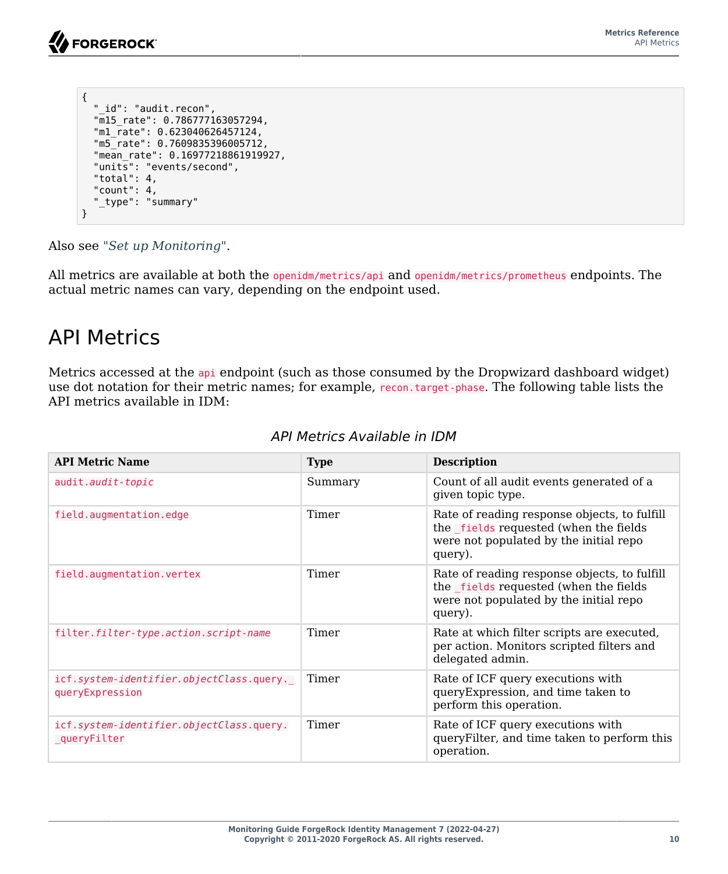```
{
   "_id": "audit.recon",
   "m15_rate": 0.786777163057294,
   "m1_rate": 0.623040626457124,
   "m5_rate": 0.7609835396005712,
   "mean_rate": 0.16977218861919927,
   "units": "events/second",
   "total": 4,
   "count": 4,
   "_type": "summary"
}
```
Also see "*[Set up Monitoring](#page-8-0)*".

All metrics are available at both the openidm/metrics/api and openidm/metrics/prometheus endpoints. The actual metric names can vary, depending on the endpoint used.

### <span id="page-13-0"></span>API Metrics

Metrics accessed at the api endpoint (such as those consumed by the Dropwizard dashboard widget) use dot notation for their metric names; for example, recon.target-phase. The following table lists the API metrics available in IDM:

| <b>API Metric Name</b>                                      | <b>Type</b> | <b>Description</b>                                                                                                                         |
|-------------------------------------------------------------|-------------|--------------------------------------------------------------------------------------------------------------------------------------------|
| audit.audit-topic                                           | Summary     | Count of all audit events generated of a<br>given topic type.                                                                              |
| field.augmentation.edge                                     | Timer       | Rate of reading response objects, to fulfill<br>the fields requested (when the fields<br>were not populated by the initial repo<br>query). |
| field.augmentation.vertex                                   | Timer       | Rate of reading response objects, to fulfill<br>the fields requested (when the fields<br>were not populated by the initial repo<br>query). |
| filter.filter-type.action.script-name                       | Timer       | Rate at which filter scripts are executed,<br>per action. Monitors scripted filters and<br>delegated admin.                                |
| icf.system-identifier.objectClass.query.<br>queryExpression | Timer       | Rate of ICF query executions with<br>query Expression, and time taken to<br>perform this operation.                                        |
| icf.system-identifier.objectClass.query.<br>queryFilter     | Timer       | Rate of ICF query executions with<br>query Filter, and time taken to perform this<br>operation.                                            |

### *API Metrics Available in IDM*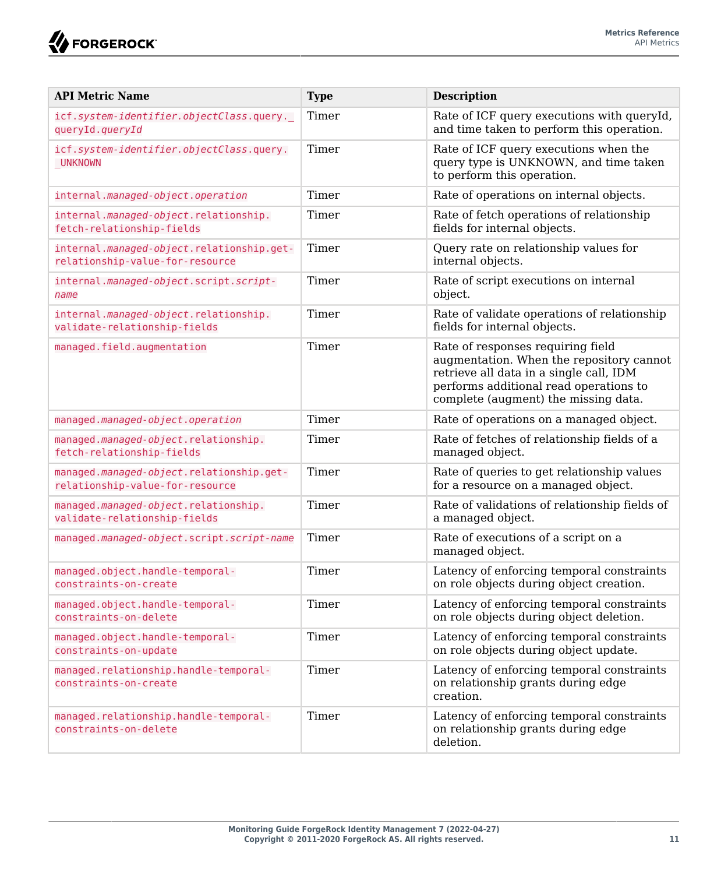**W**FORGEROCK

| <b>API Metric Name</b>                                                       | <b>Type</b> | <b>Description</b>                                                                                                                                                                                         |
|------------------------------------------------------------------------------|-------------|------------------------------------------------------------------------------------------------------------------------------------------------------------------------------------------------------------|
| icf.system-identifier.objectClass.query._<br>queryId.queryId                 | Timer       | Rate of ICF query executions with queryId,<br>and time taken to perform this operation.                                                                                                                    |
| icf.system-identifier.objectClass.query.<br>UNKNOWN                          | Timer       | Rate of ICF query executions when the<br>query type is UNKNOWN, and time taken<br>to perform this operation.                                                                                               |
| internal.managed-object.operation                                            | Timer       | Rate of operations on internal objects.                                                                                                                                                                    |
| internal.managed-object.relationship.<br>fetch-relationship-fields           | Timer       | Rate of fetch operations of relationship<br>fields for internal objects.                                                                                                                                   |
| internal.managed-object.relationship.get-<br>relationship-value-for-resource | Timer       | Query rate on relationship values for<br>internal objects.                                                                                                                                                 |
| internal.managed-object.script.script-<br>name                               | Timer       | Rate of script executions on internal<br>object.                                                                                                                                                           |
| internal.managed-object.relationship.<br>validate-relationship-fields        | Timer       | Rate of validate operations of relationship<br>fields for internal objects.                                                                                                                                |
| managed.field.augmentation                                                   | Timer       | Rate of responses requiring field<br>augmentation. When the repository cannot<br>retrieve all data in a single call, IDM<br>performs additional read operations to<br>complete (augment) the missing data. |
| managed.managed-object.operation                                             | Timer       | Rate of operations on a managed object.                                                                                                                                                                    |
| managed.managed-object.relationship.<br>fetch-relationship-fields            | Timer       | Rate of fetches of relationship fields of a<br>managed object.                                                                                                                                             |
| managed.managed-object.relationship.get-<br>relationship-value-for-resource  | Timer       | Rate of queries to get relationship values<br>for a resource on a managed object.                                                                                                                          |
| managed.managed-object.relationship.<br>validate-relationship-fields         | Timer       | Rate of validations of relationship fields of<br>a managed object.                                                                                                                                         |
| managed.managed-object.script.script-name                                    | Timer       | Rate of executions of a script on a<br>managed object.                                                                                                                                                     |
| managed.object.handle-temporal-<br>constraints-on-create                     | Timer       | Latency of enforcing temporal constraints<br>on role objects during object creation.                                                                                                                       |
| managed.object.handle-temporal-<br>constraints-on-delete                     | Timer       | Latency of enforcing temporal constraints<br>on role objects during object deletion.                                                                                                                       |
| managed.object.handle-temporal-<br>constraints-on-update                     | Timer       | Latency of enforcing temporal constraints<br>on role objects during object update.                                                                                                                         |
| managed.relationship.handle-temporal-<br>constraints-on-create               | Timer       | Latency of enforcing temporal constraints<br>on relationship grants during edge<br>creation.                                                                                                               |
| managed.relationship.handle-temporal-<br>constraints-on-delete               | Timer       | Latency of enforcing temporal constraints<br>on relationship grants during edge<br>deletion.                                                                                                               |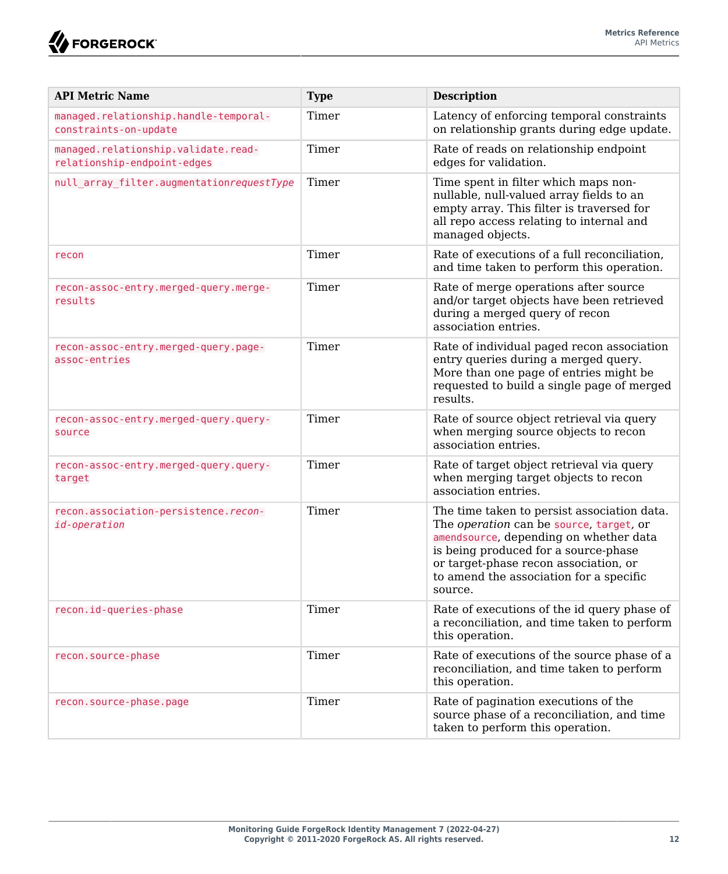| <b>API Metric Name</b>                                             | <b>Type</b> | <b>Description</b>                                                                                                                                                                                                                                                      |
|--------------------------------------------------------------------|-------------|-------------------------------------------------------------------------------------------------------------------------------------------------------------------------------------------------------------------------------------------------------------------------|
| managed.relationship.handle-temporal-<br>constraints-on-update     | Timer       | Latency of enforcing temporal constraints<br>on relationship grants during edge update.                                                                                                                                                                                 |
| managed.relationship.validate.read-<br>relationship-endpoint-edges | Timer       | Rate of reads on relationship endpoint<br>edges for validation.                                                                                                                                                                                                         |
| null array filter.augmentationrequestType                          | Timer       | Time spent in filter which maps non-<br>nullable, null-valued array fields to an<br>empty array. This filter is traversed for<br>all repo access relating to internal and<br>managed objects.                                                                           |
| recon                                                              | Timer       | Rate of executions of a full reconciliation,<br>and time taken to perform this operation.                                                                                                                                                                               |
| recon-assoc-entry.merged-query.merge-<br>results                   | Timer       | Rate of merge operations after source<br>and/or target objects have been retrieved<br>during a merged query of recon<br>association entries.                                                                                                                            |
| recon-assoc-entry.merged-query.page-<br>assoc-entries              | Timer       | Rate of individual paged recon association<br>entry queries during a merged query.<br>More than one page of entries might be<br>requested to build a single page of merged<br>results.                                                                                  |
| recon-assoc-entry.merged-query.query-<br>source                    | Timer       | Rate of source object retrieval via query<br>when merging source objects to recon<br>association entries.                                                                                                                                                               |
| recon-assoc-entry.merged-query.query-<br>target                    | Timer       | Rate of target object retrieval via query<br>when merging target objects to recon<br>association entries.                                                                                                                                                               |
| recon.association-persistence.recon-<br>id-operation               | Timer       | The time taken to persist association data.<br>The operation can be source, target, or<br>amendsource, depending on whether data<br>is being produced for a source-phase<br>or target-phase recon association, or<br>to amend the association for a specific<br>source. |
| recon.id-queries-phase                                             | Timer       | Rate of executions of the id query phase of<br>a reconciliation, and time taken to perform<br>this operation.                                                                                                                                                           |
| recon.source-phase                                                 | Timer       | Rate of executions of the source phase of a<br>reconciliation, and time taken to perform<br>this operation.                                                                                                                                                             |
| recon.source-phase.page                                            | Timer       | Rate of pagination executions of the<br>source phase of a reconciliation, and time<br>taken to perform this operation.                                                                                                                                                  |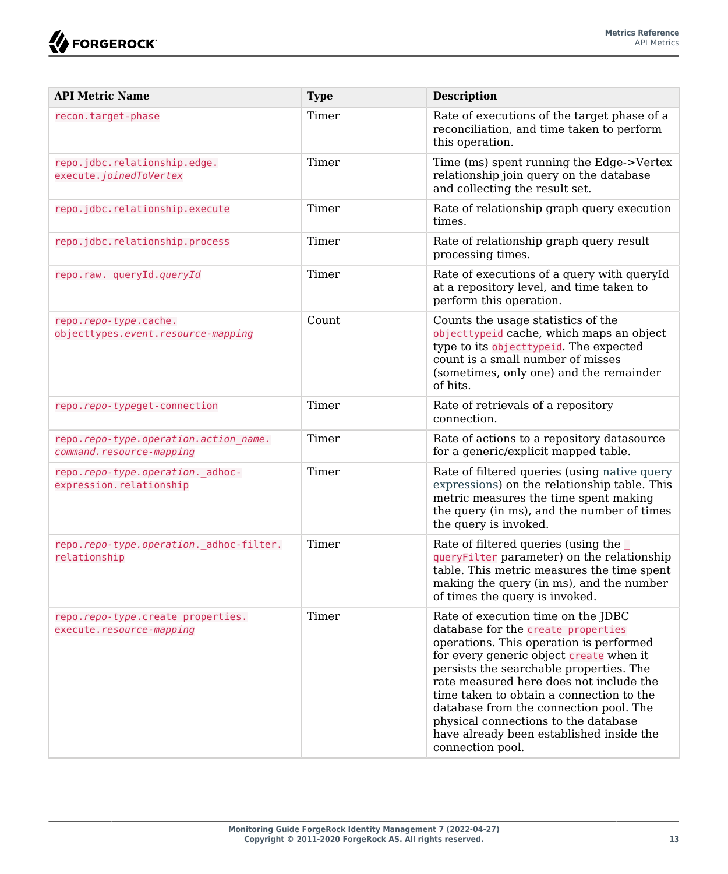| <b>API Metric Name</b>                                            | <b>Type</b> | <b>Description</b>                                                                                                                                                                                                                                                                                                                                                                                                                                 |
|-------------------------------------------------------------------|-------------|----------------------------------------------------------------------------------------------------------------------------------------------------------------------------------------------------------------------------------------------------------------------------------------------------------------------------------------------------------------------------------------------------------------------------------------------------|
| recon.target-phase                                                | Timer       | Rate of executions of the target phase of a<br>reconciliation, and time taken to perform<br>this operation.                                                                                                                                                                                                                                                                                                                                        |
| repo.jdbc.relationship.edge.<br>execute.joinedToVertex            | Timer       | Time (ms) spent running the Edge->Vertex<br>relationship join query on the database<br>and collecting the result set.                                                                                                                                                                                                                                                                                                                              |
| repo.jdbc.relationship.execute                                    | Timer       | Rate of relationship graph query execution<br>times.                                                                                                                                                                                                                                                                                                                                                                                               |
| repo.jdbc.relationship.process                                    | Timer       | Rate of relationship graph query result<br>processing times.                                                                                                                                                                                                                                                                                                                                                                                       |
| repo.raw. queryId.queryId                                         | Timer       | Rate of executions of a query with queryId<br>at a repository level, and time taken to<br>perform this operation.                                                                                                                                                                                                                                                                                                                                  |
| repo.repo-type.cache.<br>objecttypes.event.resource-mapping       | Count       | Counts the usage statistics of the<br>objecttypeid cache, which maps an object<br>type to its object typeid. The expected<br>count is a small number of misses<br>(sometimes, only one) and the remainder<br>of hits.                                                                                                                                                                                                                              |
| repo.repo-typeget-connection                                      | Timer       | Rate of retrievals of a repository<br>connection.                                                                                                                                                                                                                                                                                                                                                                                                  |
| repo.repo-type.operation.action name.<br>command.resource-mapping | Timer       | Rate of actions to a repository datasource<br>for a generic/explicit mapped table.                                                                                                                                                                                                                                                                                                                                                                 |
| repo.repo-type.operation. adhoc-<br>expression.relationship       | Timer       | Rate of filtered queries (using native query<br>expressions) on the relationship table. This<br>metric measures the time spent making<br>the query (in ms), and the number of times<br>the query is invoked.                                                                                                                                                                                                                                       |
| repo.repo-type.operation._adhoc-filter.<br>relationship           | Timer       | Rate of filtered queries (using the<br>queryFilter parameter) on the relationship<br>table. This metric measures the time spent<br>making the query (in ms), and the number<br>of times the query is invoked.                                                                                                                                                                                                                                      |
| repo.repo-type.create properties.<br>execute.resource-mapping     | Timer       | Rate of execution time on the JDBC<br>database for the create_properties<br>operations. This operation is performed<br>for every generic object create when it<br>persists the searchable properties. The<br>rate measured here does not include the<br>time taken to obtain a connection to the<br>database from the connection pool. The<br>physical connections to the database<br>have already been established inside the<br>connection pool. |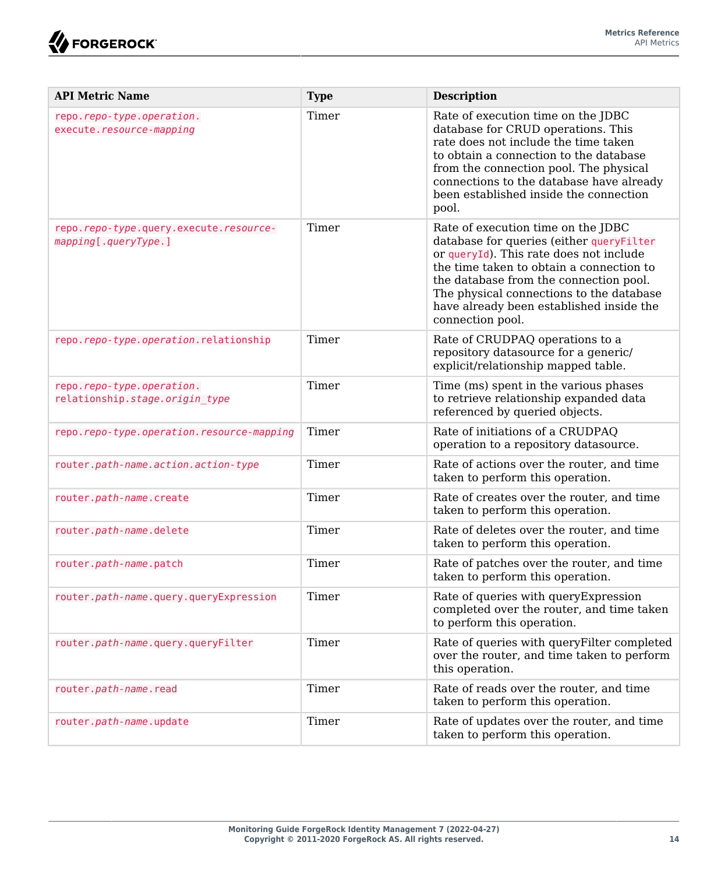

| <b>API Metric Name</b>                                         | <b>Type</b> | <b>Description</b>                                                                                                                                                                                                                                                                                                          |
|----------------------------------------------------------------|-------------|-----------------------------------------------------------------------------------------------------------------------------------------------------------------------------------------------------------------------------------------------------------------------------------------------------------------------------|
| repo.repo-type.operation.<br>execute.resource-mapping          | Timer       | Rate of execution time on the JDBC<br>database for CRUD operations. This<br>rate does not include the time taken<br>to obtain a connection to the database<br>from the connection pool. The physical<br>connections to the database have already<br>been established inside the connection<br>pool.                         |
| repo.repo-type.query.execute.resource-<br>mapping[.queryType.] | Timer       | Rate of execution time on the JDBC<br>database for queries (either queryFilter<br>or queryId). This rate does not include<br>the time taken to obtain a connection to<br>the database from the connection pool.<br>The physical connections to the database<br>have already been established inside the<br>connection pool. |
| repo.repo-type.operation.relationship                          | Timer       | Rate of CRUDPAQ operations to a<br>repository datasource for a generic/<br>explicit/relationship mapped table.                                                                                                                                                                                                              |
| repo.repo-type.operation.<br>relationship.stage.origin type    | Timer       | Time (ms) spent in the various phases<br>to retrieve relationship expanded data<br>referenced by queried objects.                                                                                                                                                                                                           |
| repo.repo-type.operation.resource-mapping                      | Timer       | Rate of initiations of a CRUDPAO<br>operation to a repository datasource.                                                                                                                                                                                                                                                   |
| router.path-name.action.action-type                            | Timer       | Rate of actions over the router, and time<br>taken to perform this operation.                                                                                                                                                                                                                                               |
| router.path-name.create                                        | Timer       | Rate of creates over the router, and time<br>taken to perform this operation.                                                                                                                                                                                                                                               |
| router.path-name.delete                                        | Timer       | Rate of deletes over the router, and time<br>taken to perform this operation.                                                                                                                                                                                                                                               |
| router.path-name.patch                                         | Timer       | Rate of patches over the router, and time<br>taken to perform this operation.                                                                                                                                                                                                                                               |
| router.path-name.query.queryExpression                         | Timer       | Rate of queries with queryExpression<br>completed over the router, and time taken<br>to perform this operation.                                                                                                                                                                                                             |
| router.path-name.query.queryFilter                             | Timer       | Rate of queries with queryFilter completed<br>over the router, and time taken to perform<br>this operation.                                                                                                                                                                                                                 |
| router.path-name.read                                          | Timer       | Rate of reads over the router, and time<br>taken to perform this operation.                                                                                                                                                                                                                                                 |
| router.path-name.update                                        | Timer       | Rate of updates over the router, and time<br>taken to perform this operation.                                                                                                                                                                                                                                               |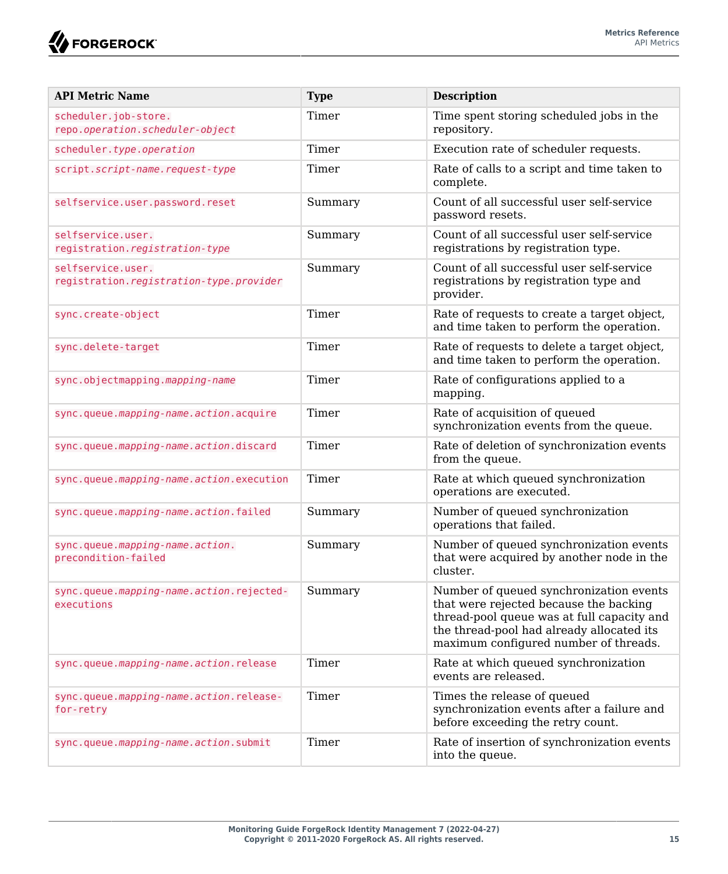**W**FORGEROCK

| <b>API Metric Name</b>                                       | <b>Type</b> | <b>Description</b>                                                                                                                                                                                                    |
|--------------------------------------------------------------|-------------|-----------------------------------------------------------------------------------------------------------------------------------------------------------------------------------------------------------------------|
| scheduler.job-store.<br>repo.operation.scheduler-object      | Timer       | Time spent storing scheduled jobs in the<br>repository.                                                                                                                                                               |
| scheduler.type.operation                                     | Timer       | Execution rate of scheduler requests.                                                                                                                                                                                 |
| script.script-name.request-type                              | Timer       | Rate of calls to a script and time taken to<br>complete.                                                                                                                                                              |
| selfservice.user.password.reset                              | Summary     | Count of all successful user self-service<br>password resets.                                                                                                                                                         |
| selfservice.user.<br>registration.registration-type          | Summary     | Count of all successful user self-service<br>registrations by registration type.                                                                                                                                      |
| selfservice.user.<br>registration.registration-type.provider | Summary     | Count of all successful user self-service<br>registrations by registration type and<br>provider.                                                                                                                      |
| sync.create-object                                           | Timer       | Rate of requests to create a target object,<br>and time taken to perform the operation.                                                                                                                               |
| sync.delete-target                                           | Timer       | Rate of requests to delete a target object,<br>and time taken to perform the operation.                                                                                                                               |
| sync.objectmapping.mapping-name                              | Timer       | Rate of configurations applied to a<br>mapping.                                                                                                                                                                       |
| sync.queue.mapping-name.action.acquire                       | Timer       | Rate of acquisition of queued<br>synchronization events from the queue.                                                                                                                                               |
| sync.queue.mapping-name.action.discard                       | Timer       | Rate of deletion of synchronization events<br>from the queue.                                                                                                                                                         |
| sync.queue.mapping-name.action.execution                     | Timer       | Rate at which queued synchronization<br>operations are executed.                                                                                                                                                      |
| sync.queue.mapping-name.action.failed                        | Summary     | Number of queued synchronization<br>operations that failed.                                                                                                                                                           |
| sync.queue.mapping-name.action.<br>precondition-failed       | Summary     | Number of queued synchronization events<br>that were acquired by another node in the<br>cluster.                                                                                                                      |
| sync.queue.mapping-name.action.rejected-<br>executions       | Summary     | Number of queued synchronization events<br>that were rejected because the backing<br>thread-pool queue was at full capacity and<br>the thread-pool had already allocated its<br>maximum configured number of threads. |
| sync.queue.mapping-name.action.release                       | Timer       | Rate at which queued synchronization<br>events are released.                                                                                                                                                          |
| sync.queue.mapping-name.action.release-<br>for-retry         | Timer       | Times the release of queued<br>synchronization events after a failure and<br>before exceeding the retry count.                                                                                                        |
| sync.queue.mapping-name.action.submit                        | Timer       | Rate of insertion of synchronization events<br>into the queue.                                                                                                                                                        |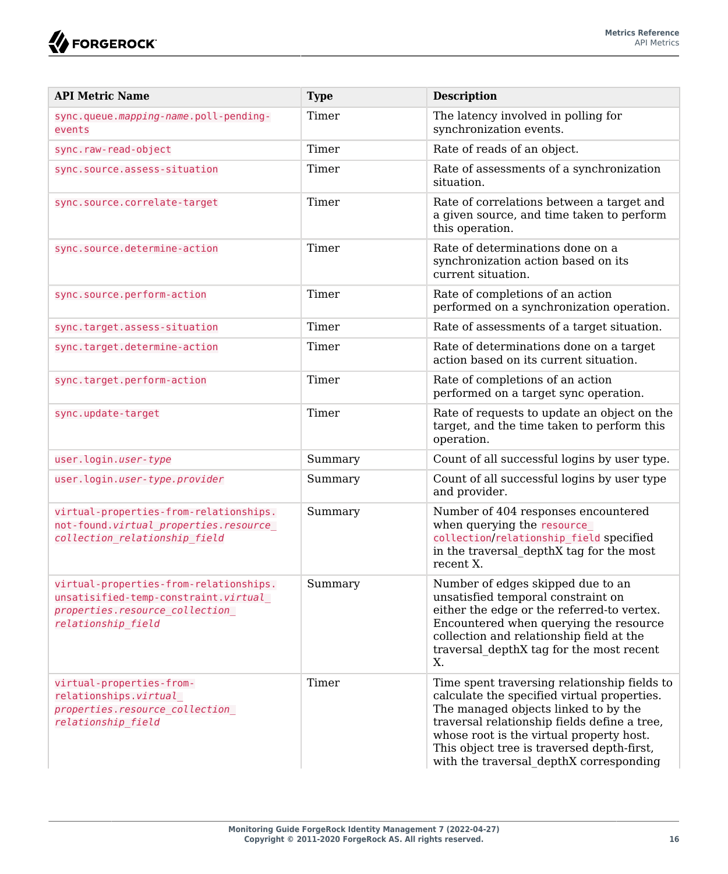| <b>API Metric Name</b>                                                                                                                 | <b>Type</b> | <b>Description</b>                                                                                                                                                                                                                                                                                                       |
|----------------------------------------------------------------------------------------------------------------------------------------|-------------|--------------------------------------------------------------------------------------------------------------------------------------------------------------------------------------------------------------------------------------------------------------------------------------------------------------------------|
| sync.queue.mapping-name.poll-pending-<br>events                                                                                        | Timer       | The latency involved in polling for<br>synchronization events.                                                                                                                                                                                                                                                           |
| sync.raw-read-object                                                                                                                   | Timer       | Rate of reads of an object.                                                                                                                                                                                                                                                                                              |
| sync.source.assess-situation                                                                                                           | Timer       | Rate of assessments of a synchronization<br>situation.                                                                                                                                                                                                                                                                   |
| sync.source.correlate-target                                                                                                           | Timer       | Rate of correlations between a target and<br>a given source, and time taken to perform<br>this operation.                                                                                                                                                                                                                |
| sync.source.determine-action                                                                                                           | Timer       | Rate of determinations done on a<br>synchronization action based on its<br>current situation.                                                                                                                                                                                                                            |
| sync.source.perform-action                                                                                                             | Timer       | Rate of completions of an action<br>performed on a synchronization operation.                                                                                                                                                                                                                                            |
| sync.target.assess-situation                                                                                                           | Timer       | Rate of assessments of a target situation.                                                                                                                                                                                                                                                                               |
| sync.target.determine-action                                                                                                           | Timer       | Rate of determinations done on a target<br>action based on its current situation.                                                                                                                                                                                                                                        |
| sync.target.perform-action                                                                                                             | Timer       | Rate of completions of an action<br>performed on a target sync operation.                                                                                                                                                                                                                                                |
| sync.update-target                                                                                                                     | Timer       | Rate of requests to update an object on the<br>target, and the time taken to perform this<br>operation.                                                                                                                                                                                                                  |
| user.login.user-type                                                                                                                   | Summary     | Count of all successful logins by user type.                                                                                                                                                                                                                                                                             |
| user.login.user-type.provider                                                                                                          | Summary     | Count of all successful logins by user type<br>and provider.                                                                                                                                                                                                                                                             |
| virtual-properties-from-relationships.<br>not-found.virtual properties.resource<br>collection relationship field                       | Summary     | Number of 404 responses encountered<br>when querying the resource<br>collection/relationship field specified<br>in the traversal depthX tag for the most<br>recent X.                                                                                                                                                    |
| virtual-properties-from-relationships.<br>unsatisified-temp-constraint.virtual<br>properties.resource collection<br>relationship field | Summary     | Number of edges skipped due to an<br>unsatisfied temporal constraint on<br>either the edge or the referred-to vertex.<br>Encountered when querying the resource<br>collection and relationship field at the<br>traversal depthX tag for the most recent<br>X.                                                            |
| virtual-properties-from-<br>relationships.virtual<br>properties.resource collection<br>relationship field                              | Timer       | Time spent traversing relationship fields to<br>calculate the specified virtual properties.<br>The managed objects linked to by the<br>traversal relationship fields define a tree,<br>whose root is the virtual property host.<br>This object tree is traversed depth-first,<br>with the traversal depthX corresponding |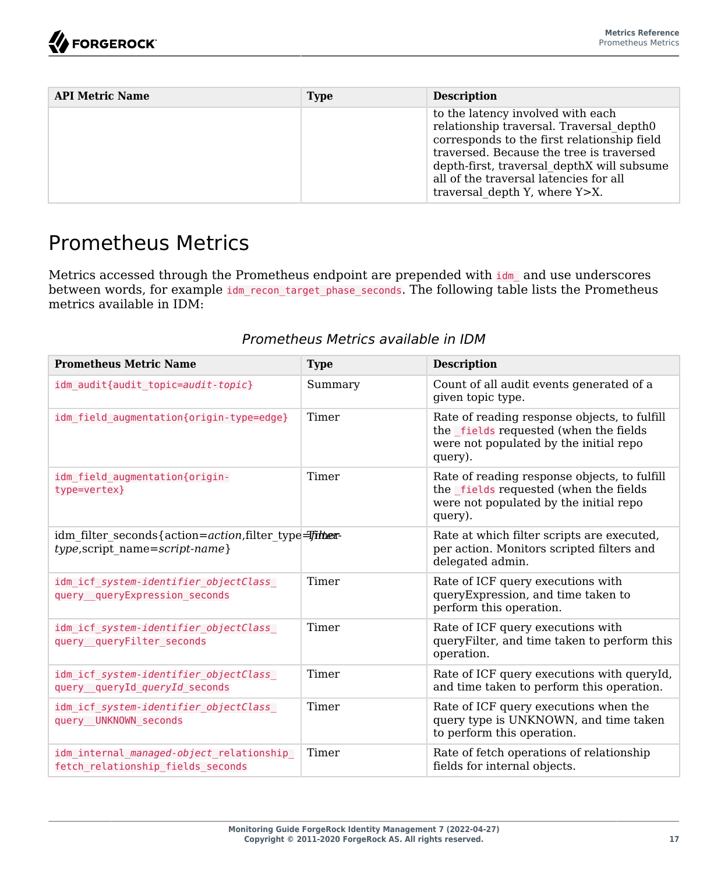| <b>API Metric Name</b> | <b>Type</b> | <b>Description</b>                                                                                                                                                                                                                                                                                |
|------------------------|-------------|---------------------------------------------------------------------------------------------------------------------------------------------------------------------------------------------------------------------------------------------------------------------------------------------------|
|                        |             | to the latency involved with each<br>relationship traversal. Traversal depth0<br>corresponds to the first relationship field<br>traversed. Because the tree is traversed<br>depth-first, traversal depthX will subsume<br>all of the traversal latencies for all<br>traversal depth Y, where Y>X. |

### <span id="page-20-0"></span>Prometheus Metrics

Metrics accessed through the Prometheus endpoint are prepended with idm and use underscores between words, for example idm\_recon\_target\_phase\_seconds. The following table lists the Prometheus metrics available in IDM:

### *Prometheus Metrics available in IDM*

| <b>Prometheus Metric Name</b>                                                         | <b>Type</b> | <b>Description</b>                                                                                                                          |
|---------------------------------------------------------------------------------------|-------------|---------------------------------------------------------------------------------------------------------------------------------------------|
| idm audit{audit topic=audit-topic}                                                    | Summary     | Count of all audit events generated of a<br>given topic type.                                                                               |
| idm field augmentation{origin-type=edge}                                              | Timer       | Rate of reading response objects, to fulfill<br>the fields requested (when the fields<br>were not populated by the initial repo<br>query).  |
| idm field augmentation{origin-<br>type=vertex}                                        | Timer       | Rate of reading response objects, to fulfill<br>the _fields requested (when the fields<br>were not populated by the initial repo<br>query). |
| idm filter seconds{action=action, filter type=Timen=<br>type,script name=script-name} |             | Rate at which filter scripts are executed,<br>per action. Monitors scripted filters and<br>delegated admin.                                 |
| idm icf system-identifier objectClass<br>query queryExpression seconds                | Timer       | Rate of ICF query executions with<br>queryExpression, and time taken to<br>perform this operation.                                          |
| idm icf system-identifier objectClass<br>query queryFilter seconds                    | Timer       | Rate of ICF query executions with<br>queryFilter, and time taken to perform this<br>operation.                                              |
| idm icf system-identifier objectClass<br>query_queryId_queryId_seconds                | Timer       | Rate of ICF query executions with queryId,<br>and time taken to perform this operation.                                                     |
| idm icf system-identifier objectClass<br>query UNKNOWN seconds                        | Timer       | Rate of ICF query executions when the<br>query type is UNKNOWN, and time taken<br>to perform this operation.                                |
| idm internal managed-object relationship<br>fetch relationship fields seconds         | Timer       | Rate of fetch operations of relationship<br>fields for internal objects.                                                                    |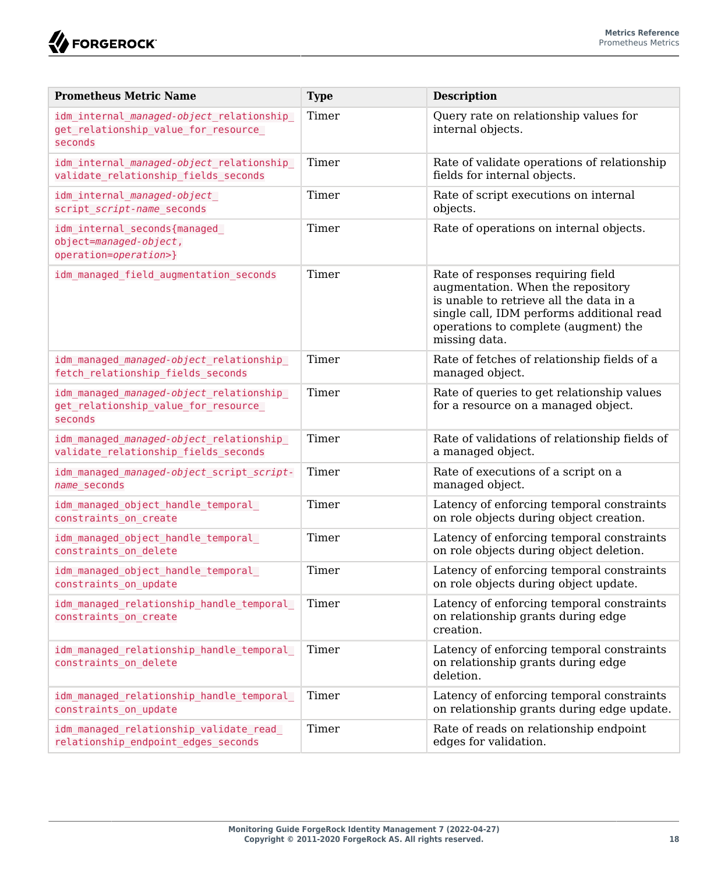

| <b>Prometheus Metric Name</b>                                                                         | <b>Type</b> | <b>Description</b>                                                                                                                                                                                                      |
|-------------------------------------------------------------------------------------------------------|-------------|-------------------------------------------------------------------------------------------------------------------------------------------------------------------------------------------------------------------------|
| idm_internal_ <i>managed-object</i> _relationship_<br>get_relationship_value_for_resource_<br>seconds | Timer       | Query rate on relationship values for<br>internal objects.                                                                                                                                                              |
| idm internal managed-object relationship<br>validate relationship fields seconds                      | Timer       | Rate of validate operations of relationship<br>fields for internal objects.                                                                                                                                             |
| idm internal managed-object<br>script script-name seconds                                             | Timer       | Rate of script executions on internal<br>objects.                                                                                                                                                                       |
| idm internal seconds{managed<br>object=managed-object,<br>operation=operation>}                       | Timer       | Rate of operations on internal objects.                                                                                                                                                                                 |
| idm managed field augmentation seconds                                                                | Timer       | Rate of responses requiring field<br>augmentation. When the repository<br>is unable to retrieve all the data in a<br>single call, IDM performs additional read<br>operations to complete (augment) the<br>missing data. |
| idm managed managed-object relationship<br>fetch relationship fields seconds                          | Timer       | Rate of fetches of relationship fields of a<br>managed object.                                                                                                                                                          |
| idm managed managed-object relationship<br>get relationship value for resource<br>seconds             | Timer       | Rate of queries to get relationship values<br>for a resource on a managed object.                                                                                                                                       |
| idm managed managed-object relationship<br>validate relationship fields seconds                       | Timer       | Rate of validations of relationship fields of<br>a managed object.                                                                                                                                                      |
| idm managed managed-object script script-<br>name seconds                                             | Timer       | Rate of executions of a script on a<br>managed object.                                                                                                                                                                  |
| idm managed object handle temporal<br>constraints on create                                           | Timer       | Latency of enforcing temporal constraints<br>on role objects during object creation.                                                                                                                                    |
| idm managed object handle temporal<br>constraints on delete                                           | Timer       | Latency of enforcing temporal constraints<br>on role objects during object deletion.                                                                                                                                    |
| idm managed object handle temporal<br>constraints on update                                           | Timer       | Latency of enforcing temporal constraints<br>on role objects during object update.                                                                                                                                      |
| idm managed relationship handle temporal<br>constraints on create                                     | Timer       | Latency of enforcing temporal constraints<br>on relationship grants during edge<br>creation.                                                                                                                            |
| idm managed relationship handle temporal<br>constraints on delete                                     | Timer       | Latency of enforcing temporal constraints<br>on relationship grants during edge<br>deletion.                                                                                                                            |
| idm managed relationship handle temporal<br>constraints on update                                     | Timer       | Latency of enforcing temporal constraints<br>on relationship grants during edge update.                                                                                                                                 |
| idm managed relationship validate read<br>relationship endpoint edges seconds                         | Timer       | Rate of reads on relationship endpoint<br>edges for validation.                                                                                                                                                         |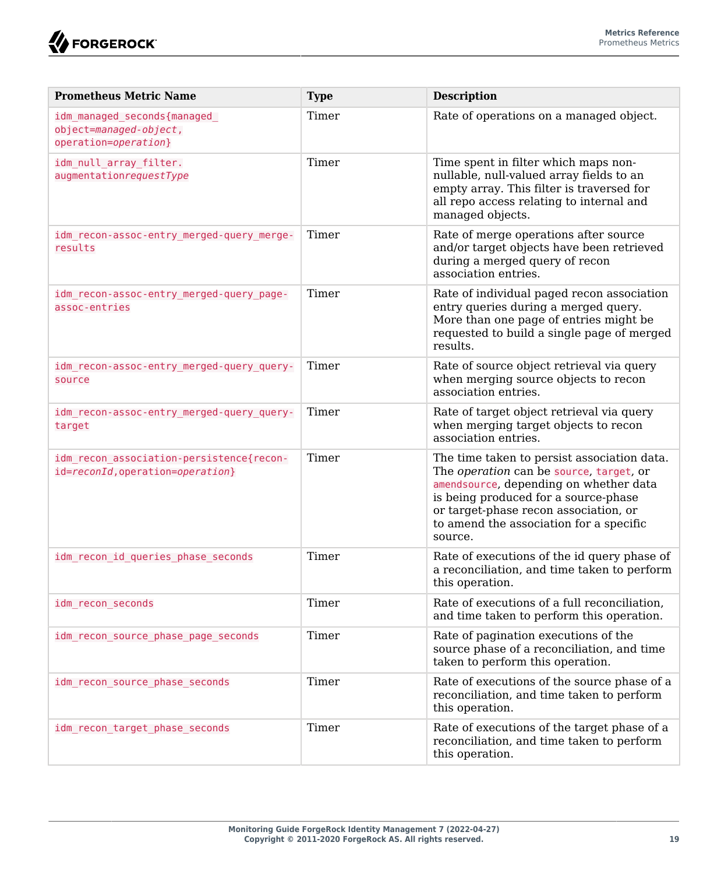

| <b>Prometheus Metric Name</b>                                                 | <b>Type</b> | <b>Description</b>                                                                                                                                                                                                                                                      |
|-------------------------------------------------------------------------------|-------------|-------------------------------------------------------------------------------------------------------------------------------------------------------------------------------------------------------------------------------------------------------------------------|
| idm managed seconds{managed<br>object=managed-object,<br>operation=operation} | Timer       | Rate of operations on a managed object.                                                                                                                                                                                                                                 |
| idm null array filter.<br>augmentationrequestType                             | Timer       | Time spent in filter which maps non-<br>nullable, null-valued array fields to an<br>empty array. This filter is traversed for<br>all repo access relating to internal and<br>managed objects.                                                                           |
| idm recon-assoc-entry merged-query merge-<br>results                          | Timer       | Rate of merge operations after source<br>and/or target objects have been retrieved<br>during a merged query of recon<br>association entries.                                                                                                                            |
| idm recon-assoc-entry merged-query page-<br>assoc-entries                     | Timer       | Rate of individual paged recon association<br>entry queries during a merged query.<br>More than one page of entries might be<br>requested to build a single page of merged<br>results.                                                                                  |
| idm_recon-assoc-entry_merged-query_query-<br>source                           | Timer       | Rate of source object retrieval via query<br>when merging source objects to recon<br>association entries.                                                                                                                                                               |
| idm recon-assoc-entry merged-query query-<br>target                           | Timer       | Rate of target object retrieval via query<br>when merging target objects to recon<br>association entries.                                                                                                                                                               |
| idm recon association-persistence{recon-<br>id=reconId, operation=operation}  | Timer       | The time taken to persist association data.<br>The operation can be source, target, or<br>amendsource, depending on whether data<br>is being produced for a source-phase<br>or target-phase recon association, or<br>to amend the association for a specific<br>source. |
| idm recon id queries phase seconds                                            | Timer       | Rate of executions of the id query phase of<br>a reconciliation, and time taken to perform<br>this operation.                                                                                                                                                           |
| idm recon seconds                                                             | Timer       | Rate of executions of a full reconciliation,<br>and time taken to perform this operation.                                                                                                                                                                               |
| idm recon source phase page seconds                                           | Timer       | Rate of pagination executions of the<br>source phase of a reconciliation, and time<br>taken to perform this operation.                                                                                                                                                  |
| idm recon source phase seconds                                                | Timer       | Rate of executions of the source phase of a<br>reconciliation, and time taken to perform<br>this operation.                                                                                                                                                             |
| idm_recon_target_phase_seconds                                                | Timer       | Rate of executions of the target phase of a<br>reconciliation, and time taken to perform<br>this operation.                                                                                                                                                             |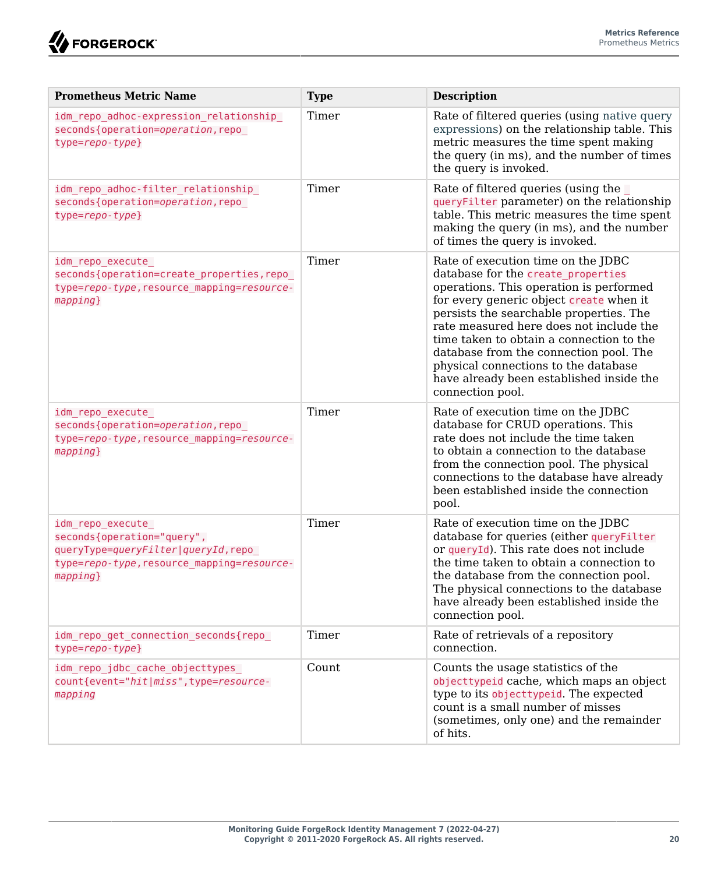

| <b>Prometheus Metric Name</b>                                                                                                                  | <b>Type</b> | <b>Description</b>                                                                                                                                                                                                                                                                                                                                                                                                                                 |
|------------------------------------------------------------------------------------------------------------------------------------------------|-------------|----------------------------------------------------------------------------------------------------------------------------------------------------------------------------------------------------------------------------------------------------------------------------------------------------------------------------------------------------------------------------------------------------------------------------------------------------|
| idm repo adhoc-expression relationship<br>seconds{operation=operation, repo<br>$type=$ repo-type}                                              | Timer       | Rate of filtered queries (using native query<br>expressions) on the relationship table. This<br>metric measures the time spent making<br>the query (in ms), and the number of times<br>the query is invoked.                                                                                                                                                                                                                                       |
| idm repo adhoc-filter relationship<br>seconds{operation=operation,repo<br>$type=repo-type\}$                                                   | Timer       | Rate of filtered queries (using the<br>queryFilter parameter) on the relationship<br>table. This metric measures the time spent<br>making the query (in ms), and the number<br>of times the query is invoked.                                                                                                                                                                                                                                      |
| idm repo execute<br>seconds{operation=create properties, repo<br>type=repo-type, resource mapping=resource-<br>$mapping$ }                     | Timer       | Rate of execution time on the JDBC<br>database for the create properties<br>operations. This operation is performed<br>for every generic object create when it<br>persists the searchable properties. The<br>rate measured here does not include the<br>time taken to obtain a connection to the<br>database from the connection pool. The<br>physical connections to the database<br>have already been established inside the<br>connection pool. |
| idm repo execute<br>seconds{operation=operation, repo<br>type=repo-type, resource mapping=resource-<br>$mapping$ }                             | Timer       | Rate of execution time on the JDBC<br>database for CRUD operations. This<br>rate does not include the time taken<br>to obtain a connection to the database<br>from the connection pool. The physical<br>connections to the database have already<br>been established inside the connection<br>pool.                                                                                                                                                |
| idm repo execute<br>seconds{operation="query",<br>queryType=queryFilter queryId,repo<br>type=repo-type, resource mapping=resource-<br>mapping} | Timer       | Rate of execution time on the JDBC<br>database for queries (either queryFilter<br>or queryId). This rate does not include<br>the time taken to obtain a connection to<br>the database from the connection pool.<br>The physical connections to the database<br>have already been established inside the<br>connection pool.                                                                                                                        |
| idm repo get connection seconds{repo<br>$type=repo-type\}$                                                                                     | Timer       | Rate of retrievals of a repository<br>connection.                                                                                                                                                                                                                                                                                                                                                                                                  |
| idm repo jdbc cache objecttypes<br>count{event="hit miss", type=resource-<br>mapping                                                           | Count       | Counts the usage statistics of the<br>objecttypeid cache, which maps an object<br>type to its objecttypeid. The expected<br>count is a small number of misses<br>(sometimes, only one) and the remainder<br>of hits.                                                                                                                                                                                                                               |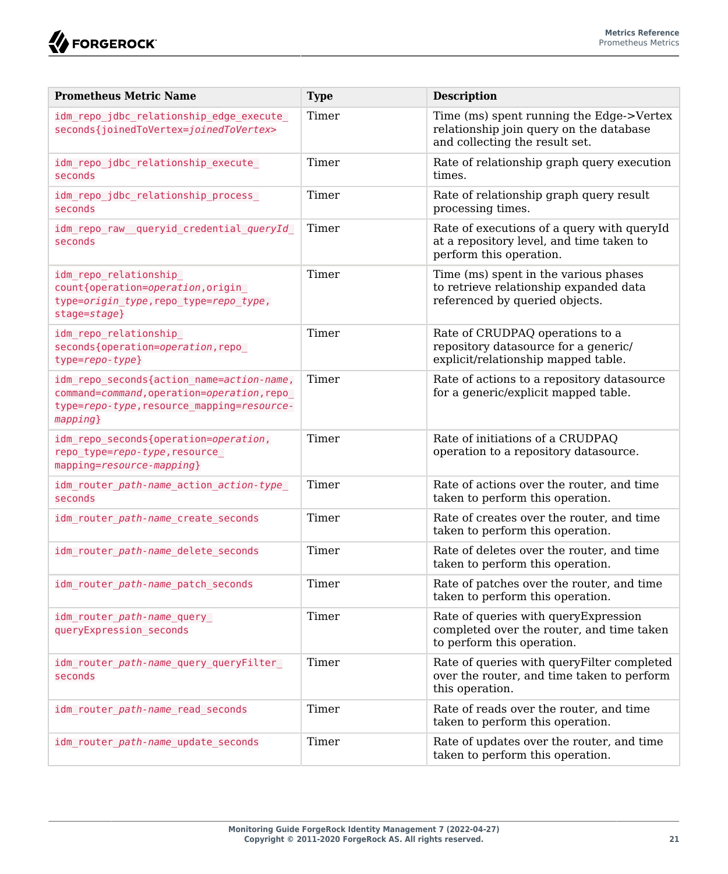

| <b>Prometheus Metric Name</b>                                                                                                                        | <b>Type</b> | <b>Description</b>                                                                                                    |
|------------------------------------------------------------------------------------------------------------------------------------------------------|-------------|-----------------------------------------------------------------------------------------------------------------------|
| idm repo jdbc relationship edge execute<br>seconds{joinedToVertex=joinedToVertex>                                                                    | Timer       | Time (ms) spent running the Edge->Vertex<br>relationship join query on the database<br>and collecting the result set. |
| idm_repo_jdbc_relationship_execute_<br>seconds                                                                                                       | Timer       | Rate of relationship graph query execution<br>times.                                                                  |
| idm_repo_jdbc_relationship_process_<br>seconds                                                                                                       | Timer       | Rate of relationship graph query result<br>processing times.                                                          |
| idm_repo_raw_queryid_credential_queryId_<br>seconds                                                                                                  | Timer       | Rate of executions of a query with queryId<br>at a repository level, and time taken to<br>perform this operation.     |
| idm repo relationship<br>count{operation=operation, origin<br>type=origin_type,repo_type=repo_type,<br>stage=stage}                                  | Timer       | Time (ms) spent in the various phases<br>to retrieve relationship expanded data<br>referenced by queried objects.     |
| idm_repo_relationship_<br>seconds{operation=operation,repo<br>$type=repo-type\}$                                                                     | Timer       | Rate of CRUDPAQ operations to a<br>repository datasource for a generic/<br>explicit/relationship mapped table.        |
| idm repo seconds{action name=action-name,<br>command=command, operation=operation, repo<br>type=repo-type, resource_mapping=resource-<br>$mapping$ } | Timer       | Rate of actions to a repository datasource<br>for a generic/explicit mapped table.                                    |
| idm_repo_seconds{operation=operation,<br>repo type=repo-type, resource<br>mapping=resource-mapping}                                                  | Timer       | Rate of initiations of a CRUDPAO<br>operation to a repository datasource.                                             |
| idm router path-name action action-type<br>seconds                                                                                                   | Timer       | Rate of actions over the router, and time<br>taken to perform this operation.                                         |
| idm router path-name create seconds                                                                                                                  | Timer       | Rate of creates over the router, and time<br>taken to perform this operation.                                         |
| idm router path-name delete seconds                                                                                                                  | Timer       | Rate of deletes over the router, and time<br>taken to perform this operation.                                         |
| idm router path-name patch seconds                                                                                                                   | Timer       | Rate of patches over the router, and time<br>taken to perform this operation.                                         |
| idm_router_path-name_query_<br>queryExpression seconds                                                                                               | Timer       | Rate of queries with queryExpression<br>completed over the router, and time taken<br>to perform this operation.       |
| idm_router_ <i>path-name</i> _query_queryFilter_<br>seconds                                                                                          | Timer       | Rate of queries with query Filter completed<br>over the router, and time taken to perform<br>this operation.          |
| idm router path-name read seconds                                                                                                                    | Timer       | Rate of reads over the router, and time<br>taken to perform this operation.                                           |
| idm router path-name update seconds                                                                                                                  | Timer       | Rate of updates over the router, and time<br>taken to perform this operation.                                         |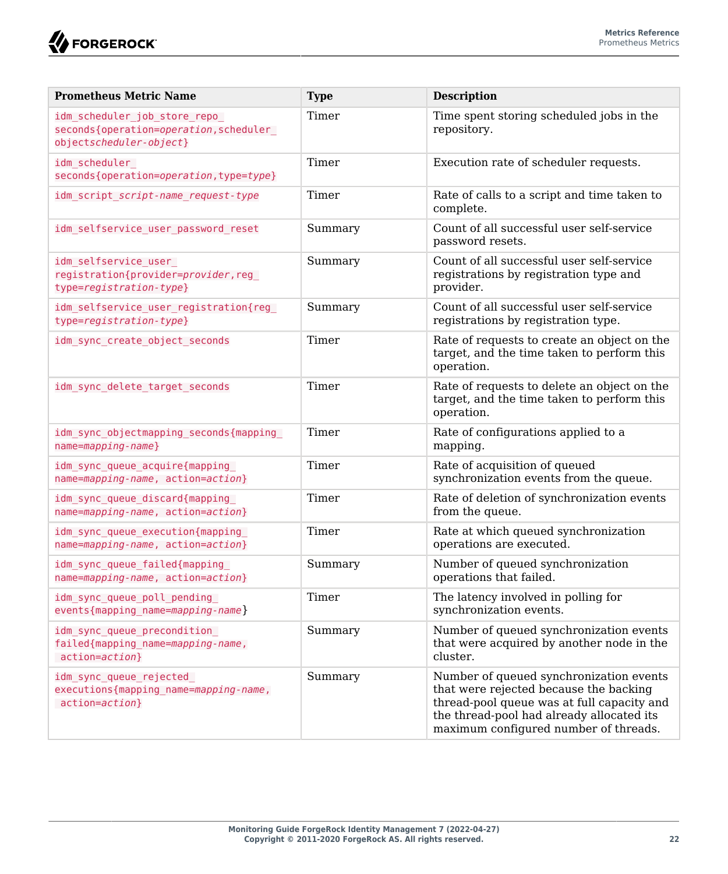**W**FORGEROCK

| <b>Prometheus Metric Name</b>                                                                      | <b>Type</b> | <b>Description</b>                                                                                                                                                                                                    |
|----------------------------------------------------------------------------------------------------|-------------|-----------------------------------------------------------------------------------------------------------------------------------------------------------------------------------------------------------------------|
| idm_scheduler_job_store_repo_<br>seconds{operation=operation, scheduler<br>objectscheduler-object} | Timer       | Time spent storing scheduled jobs in the<br>repository.                                                                                                                                                               |
| idm scheduler<br>seconds{operation=operation, type=type}                                           | Timer       | Execution rate of scheduler requests.                                                                                                                                                                                 |
| idm script script-name request-type                                                                | Timer       | Rate of calls to a script and time taken to<br>complete.                                                                                                                                                              |
| idm selfservice user password reset                                                                | Summary     | Count of all successful user self-service<br>password resets.                                                                                                                                                         |
| idm selfservice user<br>registration{provider=provider,reg_<br>type=registration-type}             | Summary     | Count of all successful user self-service<br>registrations by registration type and<br>provider.                                                                                                                      |
| idm selfservice user registration{reg<br>type=registration-type}                                   | Summary     | Count of all successful user self-service<br>registrations by registration type.                                                                                                                                      |
| idm sync create object seconds                                                                     | Timer       | Rate of requests to create an object on the<br>target, and the time taken to perform this<br>operation.                                                                                                               |
| idm sync delete target seconds                                                                     | Timer       | Rate of requests to delete an object on the<br>target, and the time taken to perform this<br>operation.                                                                                                               |
| idm sync objectmapping seconds{mapping<br>$name = mapping - name$ }                                | Timer       | Rate of configurations applied to a<br>mapping.                                                                                                                                                                       |
| idm sync queue acquire{mapping<br>name=mapping-name, action=action}                                | Timer       | Rate of acquisition of queued<br>synchronization events from the queue.                                                                                                                                               |
| idm sync queue discard{mapping<br>name=mapping-name, action=action}                                | Timer       | Rate of deletion of synchronization events<br>from the queue.                                                                                                                                                         |
| idm sync queue execution{mapping<br>name=mapping-name, action=action}                              | Timer       | Rate at which queued synchronization<br>operations are executed.                                                                                                                                                      |
| idm sync queue failed{mapping<br>name=mapping-name, action=action}                                 | Summary     | Number of queued synchronization<br>operations that failed.                                                                                                                                                           |
| idm sync queue poll pending<br>events{mapping name=mapping-name}                                   | Timer       | The latency involved in polling for<br>synchronization events.                                                                                                                                                        |
| idm sync queue precondition<br>failed{mapping name=mapping-name,<br>action=action}                 | Summary     | Number of queued synchronization events<br>that were acquired by another node in the<br>cluster.                                                                                                                      |
| idm sync queue rejected<br>executions{mapping name=mapping-name,<br>action=action}                 | Summary     | Number of queued synchronization events<br>that were rejected because the backing<br>thread-pool queue was at full capacity and<br>the thread-pool had already allocated its<br>maximum configured number of threads. |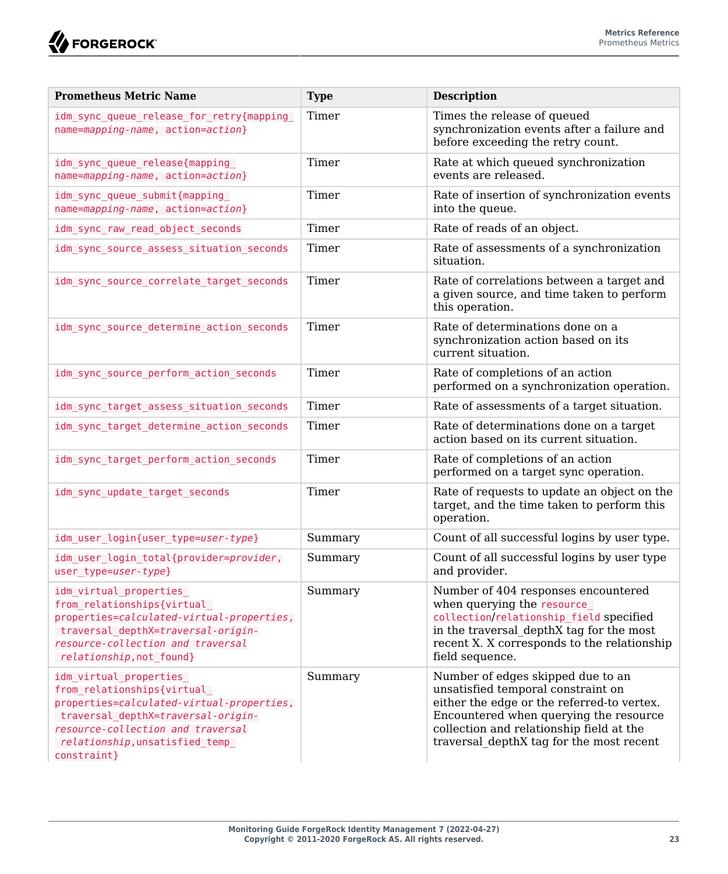| <b>Prometheus Metric Name</b>                                                                                                                                                                                                       | <b>Type</b> | <b>Description</b>                                                                                                                                                                                                                                      |
|-------------------------------------------------------------------------------------------------------------------------------------------------------------------------------------------------------------------------------------|-------------|---------------------------------------------------------------------------------------------------------------------------------------------------------------------------------------------------------------------------------------------------------|
| idm sync queue release for retry{mapping<br>name=mapping-name, action=action}                                                                                                                                                       | Timer       | Times the release of queued<br>synchronization events after a failure and<br>before exceeding the retry count.                                                                                                                                          |
| idm sync queue release{mapping<br>name=mapping-name, action=action}                                                                                                                                                                 | Timer       | Rate at which queued synchronization<br>events are released.                                                                                                                                                                                            |
| idm sync queue submit{mapping<br>name=mapping-name, action=action}                                                                                                                                                                  | Timer       | Rate of insertion of synchronization events<br>into the queue.                                                                                                                                                                                          |
| idm sync raw read object seconds                                                                                                                                                                                                    | Timer       | Rate of reads of an object.                                                                                                                                                                                                                             |
| idm sync source assess situation seconds                                                                                                                                                                                            | Timer       | Rate of assessments of a synchronization<br>situation.                                                                                                                                                                                                  |
| idm sync source correlate target seconds                                                                                                                                                                                            | Timer       | Rate of correlations between a target and<br>a given source, and time taken to perform<br>this operation.                                                                                                                                               |
| idm sync source determine action seconds                                                                                                                                                                                            | Timer       | Rate of determinations done on a<br>synchronization action based on its<br>current situation.                                                                                                                                                           |
| idm sync source perform action seconds                                                                                                                                                                                              | Timer       | Rate of completions of an action<br>performed on a synchronization operation.                                                                                                                                                                           |
| idm sync target assess situation seconds                                                                                                                                                                                            | Timer       | Rate of assessments of a target situation.                                                                                                                                                                                                              |
| idm sync target determine action seconds                                                                                                                                                                                            | Timer       | Rate of determinations done on a target<br>action based on its current situation.                                                                                                                                                                       |
| idm sync target perform action seconds                                                                                                                                                                                              | Timer       | Rate of completions of an action<br>performed on a target sync operation.                                                                                                                                                                               |
| idm_sync_update_target_seconds                                                                                                                                                                                                      | Timer       | Rate of requests to update an object on the<br>target, and the time taken to perform this<br>operation.                                                                                                                                                 |
| idm user login{user type=user-type}                                                                                                                                                                                                 | Summary     | Count of all successful logins by user type.                                                                                                                                                                                                            |
| idm user login total{provider=provider,<br>user type=user-type}                                                                                                                                                                     | Summary     | Count of all successful logins by user type<br>and provider.                                                                                                                                                                                            |
| idm virtual properties<br>from relationships{virtual<br>properties=calculated-virtual-properties,<br>traversal depthX=traversal-origin-<br>resource-collection and traversal<br>relationship, not found}                            | Summary     | Number of 404 responses encountered<br>when querying the resource_<br>collection/relationship_field specified<br>in the traversal depthX tag for the most<br>recent X. X corresponds to the relationship<br>field sequence.                             |
| idm virtual properties<br>from relationships{virtual<br>properties=calculated-virtual-properties,<br>traversal depthX=traversal-origin-<br>resource-collection and traversal<br>relationship, unsatisfied temp<br>$const$ raint $}$ | Summary     | Number of edges skipped due to an<br>unsatisfied temporal constraint on<br>either the edge or the referred-to vertex.<br>Encountered when querying the resource<br>collection and relationship field at the<br>traversal depthX tag for the most recent |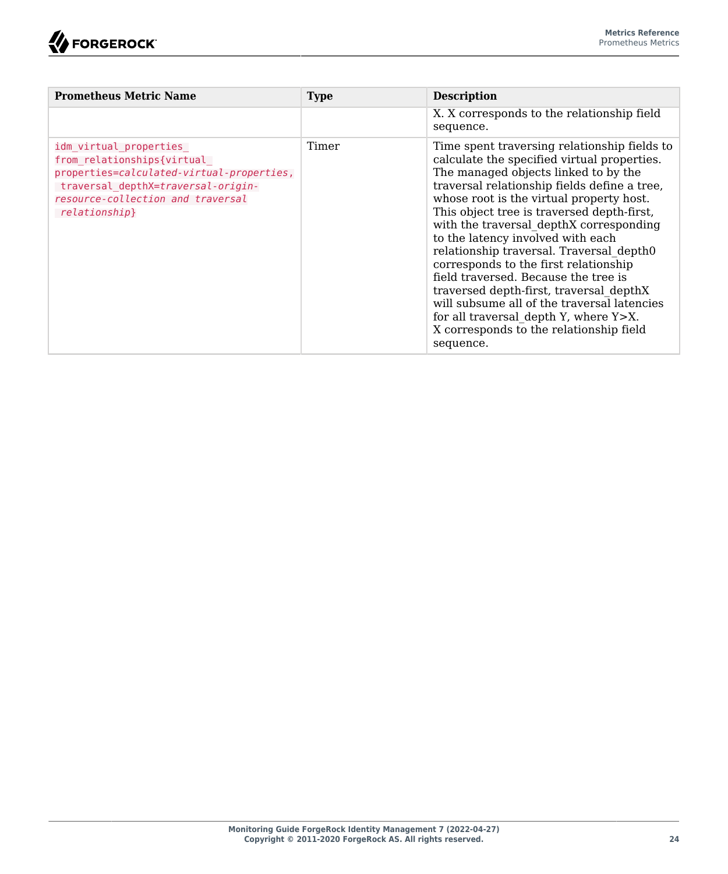

| <b>Prometheus Metric Name</b>                                                                                                                                                                  | <b>Type</b> | <b>Description</b>                                                                                                                                                                                                                                                                                                                                                                                                                                                                                                                                                                                                                                                                    |
|------------------------------------------------------------------------------------------------------------------------------------------------------------------------------------------------|-------------|---------------------------------------------------------------------------------------------------------------------------------------------------------------------------------------------------------------------------------------------------------------------------------------------------------------------------------------------------------------------------------------------------------------------------------------------------------------------------------------------------------------------------------------------------------------------------------------------------------------------------------------------------------------------------------------|
|                                                                                                                                                                                                |             | X. X corresponds to the relationship field<br>sequence.                                                                                                                                                                                                                                                                                                                                                                                                                                                                                                                                                                                                                               |
| idm virtual properties<br>from relationships{virtual_<br>properties=calculated-virtual-properties,<br>traversal depthX=traversal-origin-<br>resource-collection and traversal<br>relationship} | Timer       | Time spent traversing relationship fields to<br>calculate the specified virtual properties.<br>The managed objects linked to by the<br>traversal relationship fields define a tree.<br>whose root is the virtual property host.<br>This object tree is traversed depth-first,<br>with the traversal depthX corresponding<br>to the latency involved with each<br>relationship traversal. Traversal depth0<br>corresponds to the first relationship<br>field traversed. Because the tree is<br>traversed depth-first, traversal depthX<br>will subsume all of the traversal latencies<br>for all traversal depth Y, where Y>X.<br>X corresponds to the relationship field<br>sequence. |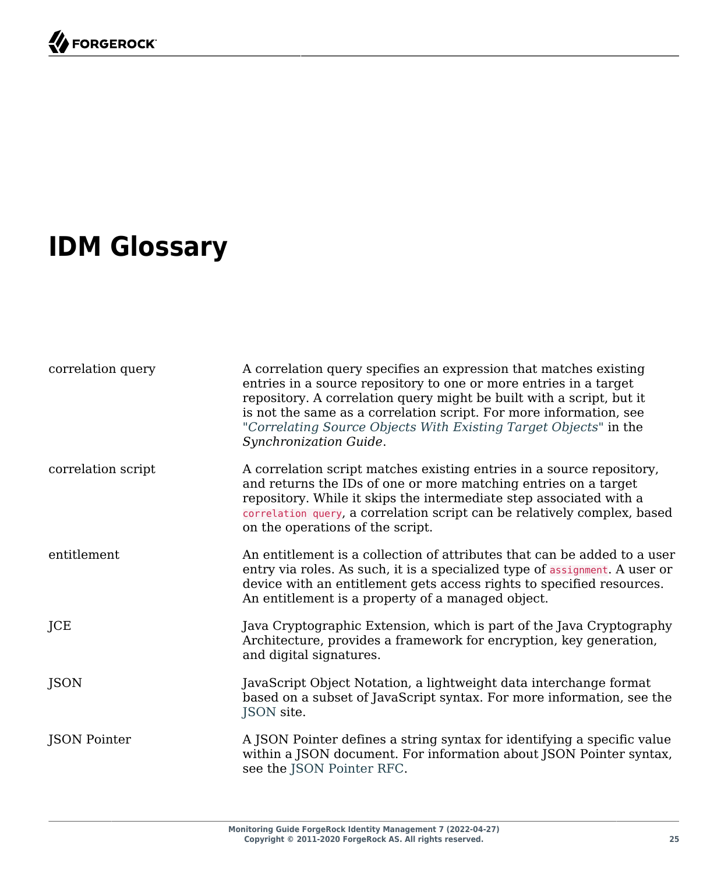# <span id="page-28-0"></span>**IDM Glossary**

| correlation query  | A correlation query specifies an expression that matches existing<br>entries in a source repository to one or more entries in a target<br>repository. A correlation query might be built with a script, but it<br>is not the same as a correlation script. For more information, see<br>"Correlating Source Objects With Existing Target Objects" in the<br>Synchronization Guide. |
|--------------------|------------------------------------------------------------------------------------------------------------------------------------------------------------------------------------------------------------------------------------------------------------------------------------------------------------------------------------------------------------------------------------|
| correlation script | A correlation script matches existing entries in a source repository,<br>and returns the IDs of one or more matching entries on a target<br>repository. While it skips the intermediate step associated with a<br>correlation query, a correlation script can be relatively complex, based<br>on the operations of the script.                                                     |
| entitlement        | An entitlement is a collection of attributes that can be added to a user<br>entry via roles. As such, it is a specialized type of assignment. A user or<br>device with an entitlement gets access rights to specified resources.<br>An entitlement is a property of a managed object.                                                                                              |
| JCE                | Java Cryptographic Extension, which is part of the Java Cryptography<br>Architecture, provides a framework for encryption, key generation,<br>and digital signatures.                                                                                                                                                                                                              |
| <b>JSON</b>        | JavaScript Object Notation, a lightweight data interchange format<br>based on a subset of JavaScript syntax. For more information, see the<br>JSON site.                                                                                                                                                                                                                           |
| JSON Pointer       | A JSON Pointer defines a string syntax for identifying a specific value<br>within a JSON document. For information about JSON Pointer syntax,<br>see the JSON Pointer RFC.                                                                                                                                                                                                         |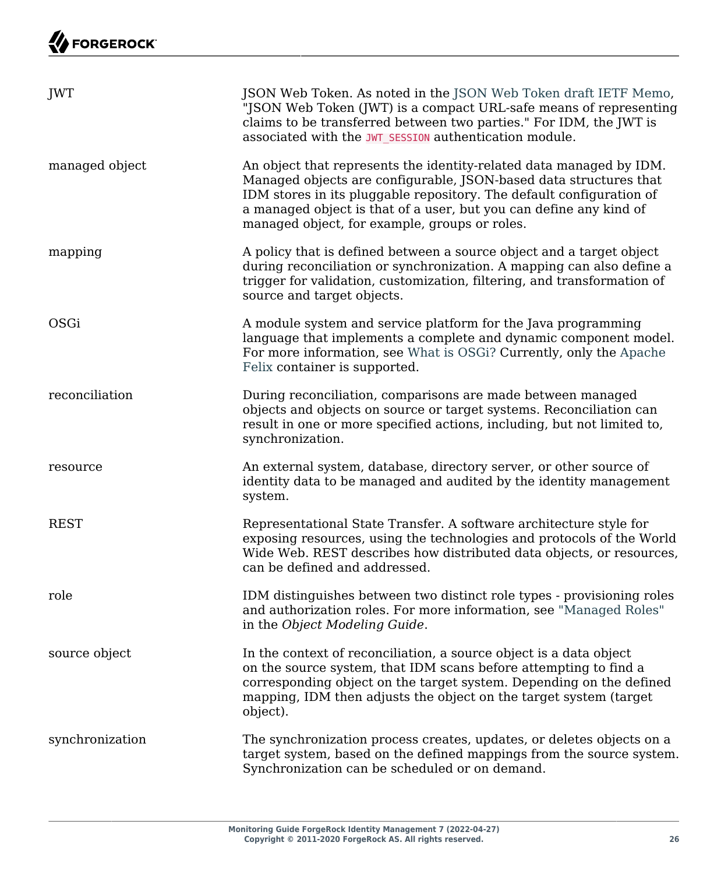| JWT             | JSON Web Token. As noted in the JSON Web Token draft IETF Memo,<br>"JSON Web Token (JWT) is a compact URL-safe means of representing<br>claims to be transferred between two parties." For IDM, the JWT is<br>associated with the JWT_SESSION authentication module.                                                                    |
|-----------------|-----------------------------------------------------------------------------------------------------------------------------------------------------------------------------------------------------------------------------------------------------------------------------------------------------------------------------------------|
| managed object  | An object that represents the identity-related data managed by IDM.<br>Managed objects are configurable, JSON-based data structures that<br>IDM stores in its pluggable repository. The default configuration of<br>a managed object is that of a user, but you can define any kind of<br>managed object, for example, groups or roles. |
| mapping         | A policy that is defined between a source object and a target object<br>during reconciliation or synchronization. A mapping can also define a<br>trigger for validation, customization, filtering, and transformation of<br>source and target objects.                                                                                  |
| OSGi            | A module system and service platform for the Java programming<br>language that implements a complete and dynamic component model.<br>For more information, see What is OSGi? Currently, only the Apache<br>Felix container is supported.                                                                                                |
| reconciliation  | During reconciliation, comparisons are made between managed<br>objects and objects on source or target systems. Reconciliation can<br>result in one or more specified actions, including, but not limited to,<br>synchronization.                                                                                                       |
| resource        | An external system, database, directory server, or other source of<br>identity data to be managed and audited by the identity management<br>system.                                                                                                                                                                                     |
| <b>REST</b>     | Representational State Transfer. A software architecture style for<br>exposing resources, using the technologies and protocols of the World<br>Wide Web. REST describes how distributed data objects, or resources,<br>can be defined and addressed.                                                                                    |
| role            | IDM distinguishes between two distinct role types - provisioning roles<br>and authorization roles. For more information, see "Managed Roles"<br>in the Object Modeling Guide.                                                                                                                                                           |
| source object   | In the context of reconciliation, a source object is a data object<br>on the source system, that IDM scans before attempting to find a<br>corresponding object on the target system. Depending on the defined<br>mapping, IDM then adjusts the object on the target system (target<br>object).                                          |
| synchronization | The synchronization process creates, updates, or deletes objects on a<br>target system, based on the defined mappings from the source system.<br>Synchronization can be scheduled or on demand.                                                                                                                                         |